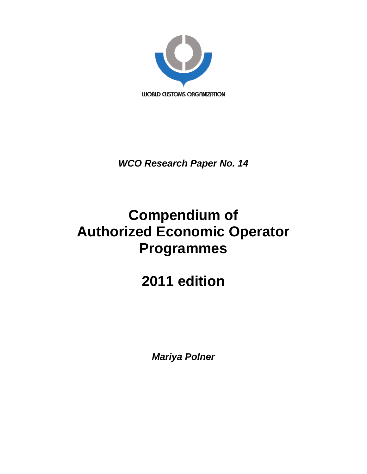

*WCO Research Paper No. 14* 

# **Compendium of Authorized Economic Operator Programmes**

# **2011 edition**

*Mariya Polner*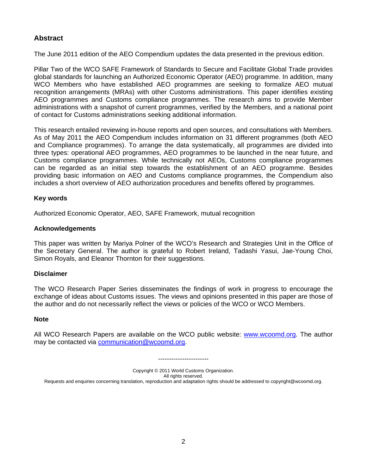### **Abstract**

The June 2011 edition of the AEO Compendium updates the data presented in the previous edition.

Pillar Two of the WCO SAFE Framework of Standards to Secure and Facilitate Global Trade provides global standards for launching an Authorized Economic Operator (AEO) programme. In addition, many WCO Members who have established AEO programmes are seeking to formalize AEO mutual recognition arrangements (MRAs) with other Customs administrations. This paper identifies existing AEO programmes and Customs compliance programmes. The research aims to provide Member administrations with a snapshot of current programmes, verified by the Members, and a national point of contact for Customs administrations seeking additional information.

This research entailed reviewing in-house reports and open sources, and consultations with Members. As of May 2011 the AEO Compendium includes information on 31 different programmes (both AEO and Compliance programmes). To arrange the data systematically, all programmes are divided into three types: operational AEO programmes, AEO programmes to be launched in the near future, and Customs compliance programmes. While technically not AEOs, Customs compliance programmes can be regarded as an initial step towards the establishment of an AEO programme. Besides providing basic information on AEO and Customs compliance programmes, the Compendium also includes a short overview of AEO authorization procedures and benefits offered by programmes.

#### **Key words**

Authorized Economic Operator, AEO, SAFE Framework, mutual recognition

#### **Acknowledgements**

This paper was written by Mariya Polner of the WCO's Research and Strategies Unit in the Office of the Secretary General. The author is grateful to Robert Ireland, Tadashi Yasui, Jae-Young Choi, Simon Royals, and Eleanor Thornton for their suggestions.

#### **Disclaimer**

The WCO Research Paper Series disseminates the findings of work in progress to encourage the exchange of ideas about Customs issues. The views and opinions presented in this paper are those of the author and do not necessarily reflect the views or policies of the WCO or WCO Members.

#### **Note**

All WCO Research Papers are available on the WCO public website: [www.wcoomd.org.](http://www.wcoomd.org/) The author may be contacted via [communication@wcoomd.org.](mailto:communication@wcoomd.org)

-----------------------

Copyright © 2011 World Customs Organization.

All rights reserved.

Requests and enquiries concerning translation, reproduction and adaptation rights should be addressed to copyright@wcoomd.org.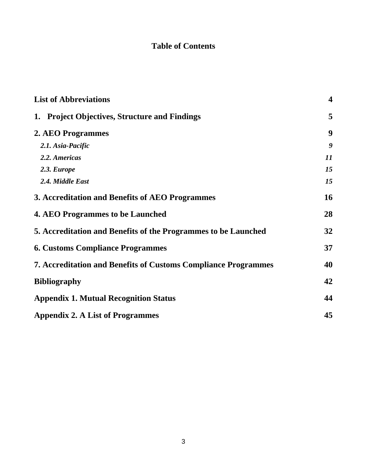# **Table of Contents**

| <b>List of Abbreviations</b>                                          | $\overline{\mathbf{4}}$ |
|-----------------------------------------------------------------------|-------------------------|
| 1. Project Objectives, Structure and Findings                         | 5                       |
| 2. AEO Programmes                                                     | 9                       |
| 2.1. Asia-Pacific                                                     | 9                       |
| 2.2. Americas                                                         | 11                      |
| 2.3. Europe                                                           | 15                      |
| 2.4. Middle East                                                      | 15                      |
| 3. Accreditation and Benefits of AEO Programmes                       | 16                      |
| <b>4. AEO Programmes to be Launched</b>                               | 28                      |
| 5. Accreditation and Benefits of the Programmes to be Launched        | 32                      |
| <b>6. Customs Compliance Programmes</b>                               | 37                      |
| <b>7. Accreditation and Benefits of Customs Compliance Programmes</b> | 40                      |
| <b>Bibliography</b>                                                   | 42                      |
| <b>Appendix 1. Mutual Recognition Status</b>                          | 44                      |
| <b>Appendix 2. A List of Programmes</b>                               | 45                      |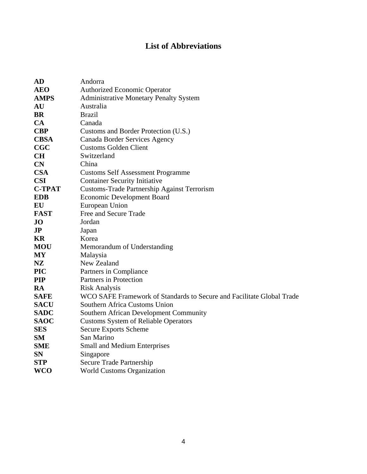## **List of Abbreviations**

<span id="page-3-0"></span>

| <b>AD</b>               | Andorra                                                               |
|-------------------------|-----------------------------------------------------------------------|
| <b>AEO</b>              | <b>Authorized Economic Operator</b>                                   |
| <b>AMPS</b>             | <b>Administrative Monetary Penalty System</b>                         |
| AU                      | Australia                                                             |
| <b>BR</b>               | <b>Brazil</b>                                                         |
| <b>CA</b>               | Canada                                                                |
| <b>CBP</b>              | Customs and Border Protection (U.S.)                                  |
| <b>CBSA</b>             | Canada Border Services Agency                                         |
| CGC                     | <b>Customs Golden Client</b>                                          |
| <b>CH</b>               | Switzerland                                                           |
| CN                      | China                                                                 |
| <b>CSA</b>              | <b>Customs Self Assessment Programme</b>                              |
| <b>CSI</b>              | <b>Container Security Initiative</b>                                  |
| <b>C-TPAT</b>           | <b>Customs-Trade Partnership Against Terrorism</b>                    |
| <b>EDB</b>              | <b>Economic Development Board</b>                                     |
| EU                      | European Union                                                        |
| <b>FAST</b>             | Free and Secure Trade                                                 |
| <b>JO</b>               | Jordan                                                                |
| $\mathbf{J} \mathbf{P}$ | Japan                                                                 |
| KR                      | Korea                                                                 |
| <b>MOU</b>              | Memorandum of Understanding                                           |
| <b>MY</b>               | Malaysia                                                              |
| <b>NZ</b>               | New Zealand                                                           |
| <b>PIC</b>              | Partners in Compliance                                                |
| <b>PIP</b>              | Partners in Protection                                                |
| RA                      | <b>Risk Analysis</b>                                                  |
| <b>SAFE</b>             | WCO SAFE Framework of Standards to Secure and Facilitate Global Trade |
| <b>SACU</b>             | Southern Africa Customs Union                                         |
| <b>SADC</b>             | <b>Southern African Development Community</b>                         |
| <b>SAOC</b>             | <b>Customs System of Reliable Operators</b>                           |
| <b>SES</b>              | <b>Secure Exports Scheme</b>                                          |
| SM                      | San Marino                                                            |
| <b>SME</b>              | <b>Small and Medium Enterprises</b>                                   |
| <b>SN</b>               | Singapore                                                             |
| <b>STP</b>              | <b>Secure Trade Partnership</b>                                       |
| <b>WCO</b>              | <b>World Customs Organization</b>                                     |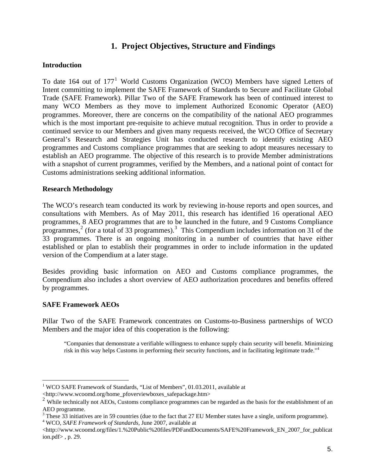### **1. Project Objectives, Structure and Findings**

#### <span id="page-4-0"></span>**Introduction**

To date [1](#page-4-1)64 out of  $177<sup>1</sup>$  World Customs Organization (WCO) Members have signed Letters of Intent committing to implement the SAFE Framework of Standards to Secure and Facilitate Global Trade (SAFE Framework). Pillar Two of the SAFE Framework has been of continued interest to many WCO Members as they move to implement Authorized Economic Operator (AEO) programmes. Moreover, there are concerns on the compatibility of the national AEO programmes which is the most important pre-requisite to achieve mutual recognition. Thus in order to provide a continued service to our Members and given many requests received, the WCO Office of Secretary General's Research and Strategies Unit has conducted research to identify existing AEO programmes and Customs compliance programmes that are seeking to adopt measures necessary to establish an AEO programme. The objective of this research is to provide Member administrations with a snapshot of current programmes, verified by the Members, and a national point of contact for Customs administrations seeking additional information.

#### **Research Methodology**

The WCO's research team conducted its work by reviewing in-house reports and open sources, and consultations with Members. As of May 2011, this research has identified 16 operational AEO programmes, 8 AEO programmes that are to be launched in the future, and 9 Customs Compliance programmes,<sup>[2](#page-4-2)</sup> (for a total of [3](#page-4-3)3 programmes).<sup>3</sup> This Compendium includes information on 31 of the 33 programmes. There is an ongoing monitoring in a number of countries that have either established or plan to establish their programmes in order to include information in the updated version of the Compendium at a later stage.

Besides providing basic information on AEO and Customs compliance programmes, the Compendium also includes a short overview of AEO authorization procedures and benefits offered by programmes.

### **SAFE Framework AEOs**

 $\overline{a}$ 

Pillar Two of the SAFE Framework concentrates on Customs-to-Business partnerships of WCO Members and the major idea of this cooperation is the following:

"Companies that demonstrate a verifiable willingness to enhance supply chain security will benefit. Minimizing risk in this way helps Customs in performing their security functions, and in facilitating legitimate trade."[4](#page-4-4)

<sup>&</sup>lt;sup>1</sup> WCO SAFE Framework of Standards, "List of Members", 01.03.2011, available at

<sup>&</sup>lt;http://www.wcoomd.org/home\_pfoverviewboxes\_safepackage.htm>

<sup>&</sup>lt;sup>2</sup> While technically not AEOs, Customs compliance programmes can be regarded as the basis for the establishment of an AEO programme.

<sup>&</sup>lt;sup>3</sup> These 33 initiatives are in 59 countries (due to the fact that 27 EU Member states have a single, uniform programme).  $^{4}$  WCO, 84 EE Eggs suggest of Standards, June 2007, suggestible of WCO, *SAFE Framework of Standards*, June 2007, available at

<span id="page-4-4"></span><span id="page-4-3"></span><span id="page-4-2"></span><span id="page-4-1"></span><sup>&</sup>lt;http://www.wcoomd.org/files/1.%20Public%20files/PDFandDocuments/SAFE%20Framework\_EN\_2007\_for\_publicat ion.pdf> , p. 29.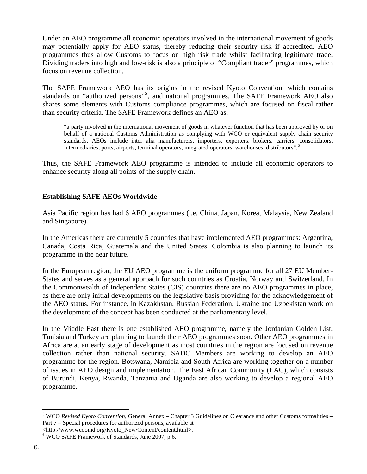Under an AEO programme all economic operators involved in the international movement of goods may potentially apply for AEO status, thereby reducing their security risk if accredited. AEO programmes thus allow Customs to focus on high risk trade whilst facilitating legitimate trade. Dividing traders into high and low-risk is also a principle of "Compliant trader" programmes, which focus on revenue collection.

The SAFE Framework AEO has its origins in the revised Kyoto Convention, which contains standards on "authorized persons"<sup>[5](#page-5-0)</sup>, and national programmes. The SAFE Framework AEO also shares some elements with Customs compliance programmes, which are focused on fiscal rather than security criteria. The SAFE Framework defines an AEO as:

"a party involved in the international movement of goods in whatever function that has been approved by or on behalf of a national Customs Administration as complying with WCO or equivalent supply chain security standards. AEOs include inter alia manufacturers, importers, exporters, brokers, carriers, consolidators, intermediaries, ports, airports, terminal operators, integrated operators, warehouses, distributors".[6](#page-5-1)

Thus, the SAFE Framework AEO programme is intended to include all economic operators to enhance security along all points of the supply chain.

#### **Establishing SAFE AEOs Worldwide**

Asia Pacific region has had 6 AEO programmes (i.e. China, Japan, Korea, Malaysia, New Zealand and Singapore).

In the Americas there are currently 5 countries that have implemented AEO programmes: Argentina, Canada, Costa Rica, Guatemala and the United States. Colombia is also planning to launch its programme in the near future.

In the European region, the EU AEO programme is the uniform programme for all 27 EU Member-States and serves as a general approach for such countries as Croatia, Norway and Switzerland. In the Commonwealth of Independent States (CIS) countries there are no AEO programmes in place, as there are only initial developments on the legislative basis providing for the acknowledgement of the AEO status. For instance, in Kazakhstan, Russian Federation, Ukraine and Uzbekistan work on the development of the concept has been conducted at the parliamentary level.

In the Middle East there is one established AEO programme, namely the Jordanian Golden List. Tunisia and Turkey are planning to launch their AEO programmes soon. Other AEO programmes in Africa are at an early stage of development as most countries in the region are focused on revenue collection rather than national security. SADC Members are working to develop an AEO programme for the region. Botswana, Namibia and South Africa are working together on a number of issues in AEO design and implementation. The East African Community (EAC), which consists of Burundi, Kenya, Rwanda, Tanzania and Uganda are also working to develop a regional AEO programme.

<http://www.wcoomd.org/Kyoto\_New/Content/content.html>.

 $\overline{a}$ 

<sup>5</sup> WCO *Revised Kyoto Convention*, General Annex – Chapter 3 Guidelines on Clearance and other Customs formalities – Part 7 – Special procedures for authorized persons, available at

<span id="page-5-1"></span><span id="page-5-0"></span><sup>6</sup> WCO SAFE Framework of Standards, June 2007, p.6.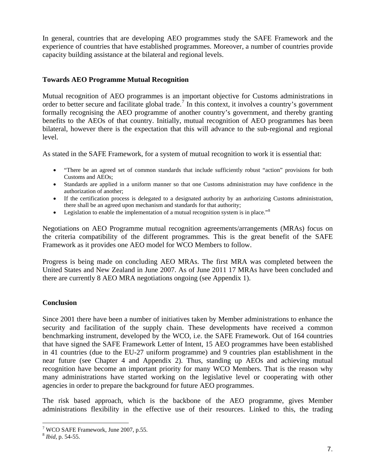In general, countries that are developing AEO programmes study the SAFE Framework and the experience of countries that have established programmes. Moreover, a number of countries provide capacity building assistance at the bilateral and regional levels.

### **Towards AEO Programme Mutual Recognition**

Mutual recognition of AEO programmes is an important objective for Customs administrations in order to better secure and facilitate global trade.<sup>[7](#page-6-0)</sup> In this context, it involves a country's government formally recognising the AEO programme of another country's government, and thereby granting benefits to the AEOs of that country. Initially, mutual recognition of AEO programmes has been bilateral, however there is the expectation that this will advance to the sub-regional and regional level.

As stated in the SAFE Framework, for a system of mutual recognition to work it is essential that:

- "There be an agreed set of common standards that include sufficiently robust "action" provisions for both Customs and AEOs;
- Standards are applied in a uniform manner so that one Customs administration may have confidence in the authorization of another;
- If the certification process is delegated to a designated authority by an authorizing Customs administration, there shall be an agreed upon mechanism and standards for that authority;
- Legislation to enable the implementation of a mutual recognition system is in place."<sup>[8](#page-6-1)</sup>

Negotiations on AEO Programme mutual recognition agreements/arrangements (MRAs) focus on the criteria compatibility of the different programmes. This is the great benefit of the SAFE Framework as it provides one AEO model for WCO Members to follow.

Progress is being made on concluding AEO MRAs. The first MRA was completed between the United States and New Zealand in June 2007. As of June 2011 17 MRAs have been concluded and there are currently 8 AEO MRA negotiations ongoing (see Appendix 1).

### **Conclusion**

Since 2001 there have been a number of initiatives taken by Member administrations to enhance the security and facilitation of the supply chain. These developments have received a common benchmarking instrument, developed by the WCO, i.e. the SAFE Framework. Out of 164 countries that have signed the SAFE Framework Letter of Intent, 15 AEO programmes have been established in 41 countries (due to the EU-27 uniform programme) and 9 countries plan establishment in the near future (see Chapter 4 and Appendix 2). Thus, standing up AEOs and achieving mutual recognition have become an important priority for many WCO Members. That is the reason why many administrations have started working on the legislative level or cooperating with other agencies in order to prepare the background for future AEO programmes.

The risk based approach, which is the backbone of the AEO programme, gives Member administrations flexibility in the effective use of their resources. Linked to this, the trading

 $\overline{a}$ 

<sup>&</sup>lt;sup>7</sup> WCO SAFE Framework, June 2007, p.55.

<span id="page-6-1"></span><span id="page-6-0"></span><sup>8</sup> *Ibid*, p. 54-55.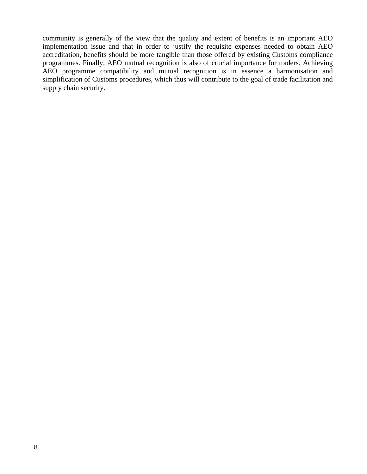community is generally of the view that the quality and extent of benefits is an important AEO implementation issue and that in order to justify the requisite expenses needed to obtain AEO accreditation, benefits should be more tangible than those offered by existing Customs compliance programmes. Finally, AEO mutual recognition is also of crucial importance for traders. Achieving AEO programme compatibility and mutual recognition is in essence a harmonisation and simplification of Customs procedures, which thus will contribute to the goal of trade facilitation and supply chain security.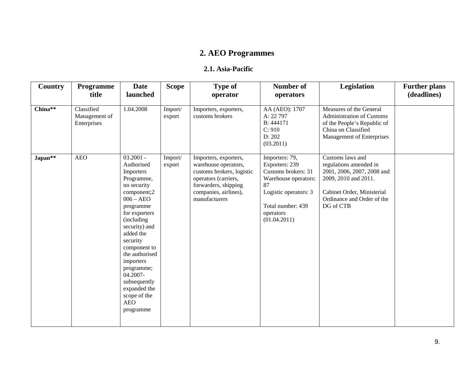# **2. AEO Programmes**

#### **2.1. Asia-Pacific**

<span id="page-8-0"></span>

| Country             | Programme<br>title                         | <b>Date</b><br>launched                                                                                                                                                                                                                                                                                                                     | <b>Scope</b>      | <b>Type of</b><br>operator                                                                                                                                           | <b>Number of</b><br>operators                                                                                                                                    | Legislation                                                                                                                                                               | <b>Further plans</b><br>(deadlines) |
|---------------------|--------------------------------------------|---------------------------------------------------------------------------------------------------------------------------------------------------------------------------------------------------------------------------------------------------------------------------------------------------------------------------------------------|-------------------|----------------------------------------------------------------------------------------------------------------------------------------------------------------------|------------------------------------------------------------------------------------------------------------------------------------------------------------------|---------------------------------------------------------------------------------------------------------------------------------------------------------------------------|-------------------------------------|
| $China**$           | Classified<br>Management of<br>Enterprises | 1.04.2008                                                                                                                                                                                                                                                                                                                                   | Import/<br>export | Importers, exporters,<br>customs brokers                                                                                                                             | AA (AEO): 1707<br>A: 22 797<br>B: 444171<br>C: 910<br>D: 202<br>(03.2011)                                                                                        | Measures of the General<br>Administration of Customs<br>of the People's Republic of<br>China on Classified<br>Management of Enterprises                                   |                                     |
| Japan <sup>**</sup> | <b>AEO</b>                                 | $03.2001 -$<br>Authorised<br>Importers<br>Programme,<br>no security<br>component;2<br>$006 - AEO$<br>programme<br>for exporters<br>(including<br>security) and<br>added the<br>security<br>component to<br>the authorised<br>importers<br>programme;<br>04.2007-<br>subsequently<br>expanded the<br>scope of the<br><b>AEO</b><br>programme | Import/<br>export | Importers, exporters,<br>warehouse operators,<br>customs brokers, logistic<br>operators (carriers,<br>forwarders, shipping<br>companies, airlines),<br>manufacturers | Importers: 79,<br>Exporters: 239<br>Customs brokers: 31<br>Warehouse operators:<br>87<br>Logistic operators: 3<br>Total number: 439<br>operators<br>(01.04.2011) | Customs laws and<br>regulations amended in<br>2001, 2006, 2007, 2008 and<br>2009, 2010 and 2011.<br>Cabinet Order, Ministerial<br>Ordinance and Order of the<br>DG of CTB |                                     |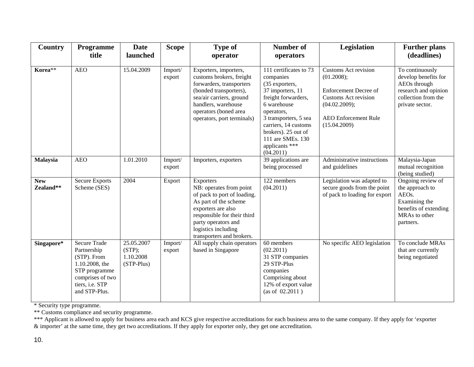| Country                 | Programme<br>title                                                                                                                           | <b>Date</b><br>launched                         | <b>Scope</b>      | <b>Type of</b><br>operator                                                                                                                                                                                                   | <b>Number of</b><br>operators                                                                                                                                                                                                                             | Legislation                                                                                                                                                              | <b>Further plans</b><br>(deadlines)                                                                                       |
|-------------------------|----------------------------------------------------------------------------------------------------------------------------------------------|-------------------------------------------------|-------------------|------------------------------------------------------------------------------------------------------------------------------------------------------------------------------------------------------------------------------|-----------------------------------------------------------------------------------------------------------------------------------------------------------------------------------------------------------------------------------------------------------|--------------------------------------------------------------------------------------------------------------------------------------------------------------------------|---------------------------------------------------------------------------------------------------------------------------|
| Korea**                 | <b>AEO</b>                                                                                                                                   | 15.04.2009                                      | Import/<br>export | Exporters, importers,<br>customs brokers, freight<br>forwarders, transporters<br>(bonded transporters),<br>sea/air carriers, ground<br>handlers, warehouse<br>operators (boned area<br>operators, port terminals)            | 111 certificates to 73<br>companies<br>(35 exporters,<br>37 importers, 11<br>freight forwarders,<br>6 warehouse<br>operators,<br>3 transporters, 5 sea<br>carriers, 14 customs<br>brokers). 25 out of<br>111 are SMEs. 130<br>applicants ***<br>(04.2011) | <b>Customs Act revision</b><br>(01.2008);<br><b>Enforcement Decree of</b><br><b>Customs Act revision</b><br>(04.02.2009);<br><b>AEO</b> Enforcement Rule<br>(15.04.2009) | To continuously<br>develop benefits for<br>AEOs through<br>research and opinion<br>collection from the<br>private sector. |
| <b>Malaysia</b>         | <b>AEO</b>                                                                                                                                   | 1.01.2010                                       | Import/<br>export | Importers, exporters                                                                                                                                                                                                         | 39 applications are<br>being processed                                                                                                                                                                                                                    | Administrative instructions<br>and guidelines                                                                                                                            | Malaysia-Japan<br>mutual recognition<br>(being studied)                                                                   |
| <b>New</b><br>Zealand** | <b>Secure Exports</b><br>Scheme (SES)                                                                                                        | 2004                                            | Export            | Exporters<br>NB: operates from point<br>of pack to port of loading.<br>As part of the scheme<br>exporters are also<br>responsible for their third<br>party operators and<br>logistics including<br>transporters and brokers. | 122 members<br>(04.2011)                                                                                                                                                                                                                                  | Legislation was adapted to<br>secure goods from the point<br>of pack to loading for export                                                                               | Ongoing review of<br>the approach to<br>AEOs.<br>Examining the<br>benefits of extending<br>MRAs to other<br>partners.     |
| Singapore*              | <b>Secure Trade</b><br>Partnership<br>(STP). From<br>1.10.2008, the<br>STP programme<br>comprises of two<br>tiers, i.e. STP<br>and STP-Plus. | 25.05.2007<br>(STP);<br>1.10.2008<br>(STP-Plus) | Import/<br>export | All supply chain operators<br>based in Singapore                                                                                                                                                                             | 60 members<br>(02.2011)<br>31 STP companies<br>29 STP-Plus<br>companies<br>Comprising about<br>12% of export value<br>(as of 02.2011)                                                                                                                     | No specific AEO legislation                                                                                                                                              | To conclude MRAs<br>that are currently<br>being negotiated                                                                |

\* Security type programme.

\*\* Customs compliance and security programme.

\*\*\* Applicant is allowed to apply for business area each and KCS give respective accreditations for each business area to the same company. If they apply for 'exporter & importer' at the same time, they get two accreditations. If they apply for exporter only, they get one accreditation.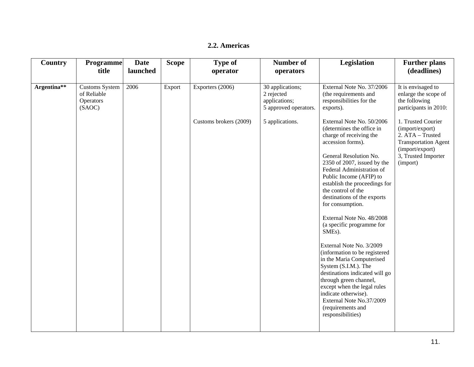#### **2.2. Americas**

<span id="page-10-0"></span>

| Country     | <b>Programme</b><br>title                                   | <b>Date</b><br>launched | <b>Scope</b> | <b>Type of</b><br>operator | <b>Number of</b><br>operators                                            | Legislation                                                                                                                                                                                                                                                                                                                                                                                                                                                                                                                                                                                                                                                                                                                   | <b>Further plans</b><br>(deadlines)                                                                                                            |
|-------------|-------------------------------------------------------------|-------------------------|--------------|----------------------------|--------------------------------------------------------------------------|-------------------------------------------------------------------------------------------------------------------------------------------------------------------------------------------------------------------------------------------------------------------------------------------------------------------------------------------------------------------------------------------------------------------------------------------------------------------------------------------------------------------------------------------------------------------------------------------------------------------------------------------------------------------------------------------------------------------------------|------------------------------------------------------------------------------------------------------------------------------------------------|
|             |                                                             |                         |              |                            |                                                                          |                                                                                                                                                                                                                                                                                                                                                                                                                                                                                                                                                                                                                                                                                                                               |                                                                                                                                                |
| Argentina** | <b>Customs System</b><br>of Reliable<br>Operators<br>(SAOC) | 2006                    | Export       | Exporters (2006)           | 30 applications;<br>2 rejected<br>applications;<br>5 approved operators. | External Note No. 37/2006<br>(the requirements and<br>responsibilities for the<br>exports).                                                                                                                                                                                                                                                                                                                                                                                                                                                                                                                                                                                                                                   | It is envisaged to<br>enlarge the scope of<br>the following<br>participants in 2010:                                                           |
|             |                                                             |                         |              | Customs brokers (2009)     | 5 applications.                                                          | External Note No. 50/2006<br>(determines the office in<br>charge of receiving the<br>accession forms).<br>General Resolution No.<br>2350 of 2007, issued by the<br>Federal Administration of<br>Public Income (AFIP) to<br>establish the proceedings for<br>the control of the<br>destinations of the exports<br>for consumption.<br>External Note No. 48/2008<br>(a specific programme for<br>SME <sub>s</sub> ).<br>External Note No. 3/2009<br>(information to be registered<br>in the Maria Computerised<br>System (S.I.M.). The<br>destinations indicated will go<br>through green channel,<br>except when the legal rules<br>indicate otherwise).<br>External Note No.37/2009<br>(requirements and<br>responsibilities) | 1. Trusted Courier<br>(import/export)<br>2. ATA - Trusted<br><b>Transportation Agent</b><br>(import/export)<br>3, Trusted Importer<br>(import) |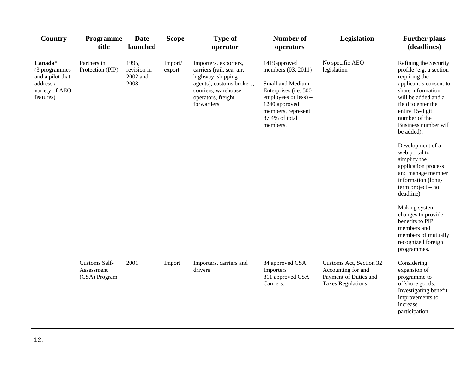| Country                                                                                    | <b>Programme</b><br>title                           | <b>Date</b><br>launched                  | <b>Scope</b>      | <b>Type of</b><br>operator                                                                                                                                      | <b>Number of</b><br>operators                                                                                                                                                | Legislation                                                                                        | <b>Further plans</b><br>(deadlines)                                                                                                                                                                                                                                                                                                                                                                                                                                                                                                     |
|--------------------------------------------------------------------------------------------|-----------------------------------------------------|------------------------------------------|-------------------|-----------------------------------------------------------------------------------------------------------------------------------------------------------------|------------------------------------------------------------------------------------------------------------------------------------------------------------------------------|----------------------------------------------------------------------------------------------------|-----------------------------------------------------------------------------------------------------------------------------------------------------------------------------------------------------------------------------------------------------------------------------------------------------------------------------------------------------------------------------------------------------------------------------------------------------------------------------------------------------------------------------------------|
| $Canada*$<br>(3 programmes<br>and a pilot that<br>address a<br>variety of AEO<br>features) | Partners in<br>Protection (PIP)                     | 1995,<br>revision in<br>2002 and<br>2008 | Import/<br>export | Importers, exporters,<br>carriers (rail, sea, air,<br>highway, shipping<br>agents), customs brokers,<br>couriers, warehouse<br>operators, freight<br>forwarders | 1419approved<br>members (03. 2011)<br>Small and Medium<br>Enterprises (i.e. 500<br>employees or less) -<br>1240 approved<br>members, represent<br>87,4% of total<br>members. | No specific AEO<br>legislation                                                                     | Refining the Security<br>profile (e.g. a section<br>requiring the<br>applicant's consent to<br>share information<br>will be added and a<br>field to enter the<br>entire 15-digit<br>number of the<br>Business number will<br>be added).<br>Development of a<br>web portal to<br>simplify the<br>application process<br>and manage member<br>information (long-<br>$term project - no$<br>deadline)<br>Making system<br>changes to provide<br>benefits to PIP<br>members and<br>members of mutually<br>recognized foreign<br>programmes. |
|                                                                                            | <b>Customs Self-</b><br>Assessment<br>(CSA) Program | 2001                                     | Import            | Importers, carriers and<br>drivers                                                                                                                              | 84 approved CSA<br>Importers<br>811 approved CSA<br>Carriers.                                                                                                                | Customs Act, Section 32<br>Accounting for and<br>Payment of Duties and<br><b>Taxes Regulations</b> | Considering<br>expansion of<br>programme to<br>offshore goods.<br>Investigating benefit<br>improvements to<br>increase<br>participation.                                                                                                                                                                                                                                                                                                                                                                                                |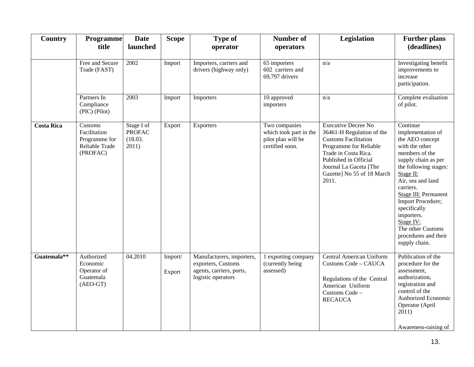| Country           | <b>Programme</b><br>title                                              | <b>Date</b><br>launched                         | <b>Scope</b>      | <b>Type of</b><br>operator                                                                        | <b>Number of</b><br>operators                                                    | Legislation                                                                                                                                                                                                                        | <b>Further plans</b><br>(deadlines)                                                                                                                                                                                                                                                                                                              |
|-------------------|------------------------------------------------------------------------|-------------------------------------------------|-------------------|---------------------------------------------------------------------------------------------------|----------------------------------------------------------------------------------|------------------------------------------------------------------------------------------------------------------------------------------------------------------------------------------------------------------------------------|--------------------------------------------------------------------------------------------------------------------------------------------------------------------------------------------------------------------------------------------------------------------------------------------------------------------------------------------------|
|                   | Free and Secure<br>Trade (FAST)                                        | 2002                                            | Import            | Importers, carriers and<br>drivers (highway only)                                                 | 65 importers<br>602 carriers and<br>69,797 drivers                               | n/a                                                                                                                                                                                                                                | Investigating benefit<br>improvements to<br>increase<br>participation.                                                                                                                                                                                                                                                                           |
|                   | Partners In<br>Compliance<br>(PIC) (Pilot)                             | 2003                                            | Import            | Importers                                                                                         | 10 approved<br>importers                                                         | n/a                                                                                                                                                                                                                                | Complete evaluation<br>of pilot.                                                                                                                                                                                                                                                                                                                 |
| <b>Costa Rica</b> | Customs<br>Facilitation<br>Programme for<br>Reliable Trade<br>(PROFAC) | Stage I of<br><b>PROFAC</b><br>(18.03.<br>2011) | Export            | Exporters                                                                                         | Two companies<br>which took part in the<br>pilot plan will be<br>certified soon. | <b>Executive Decree No</b><br>36461-H Regulation of the<br><b>Customs Facilitation</b><br>Programme for Reliable<br>Trade in Costa Rica.<br>Published in Official<br>Journal La Gaceta [The<br>Gazette] No 55 of 18 March<br>2011. | Continue<br>implementation of<br>the AEO concept<br>with the other<br>members of the<br>supply chain as per<br>the following stages:<br>Stage II:<br>Air, sea and land<br>carriers.<br><b>Stage III: Permanent</b><br>Import Procedure;<br>specifically<br>importers.<br>Stage IV:<br>The other Customs<br>procedures and their<br>supply chain. |
| Guatemala**       | Authorized<br>Economic<br>Operator of<br>Guatemala<br>$(ABO-GT)$       | 04.2010                                         | Import/<br>Export | Manufacturers, importers,<br>exporters, Customs<br>agents, carriers, ports,<br>logistic operators | 1 exporting company<br>(currently being<br>assessed)                             | <b>Central American Uniform</b><br>Customs Code - CAUCA<br>Regulations of the Central<br>American Uniform<br>Customs Code -<br><b>RECAUCA</b>                                                                                      | Publication of the<br>procedure for the<br>assessment,<br>authorization,<br>registration and<br>control of the<br>Authorized Economic<br>Operator (April<br>2011)<br>Awareness-raising of                                                                                                                                                        |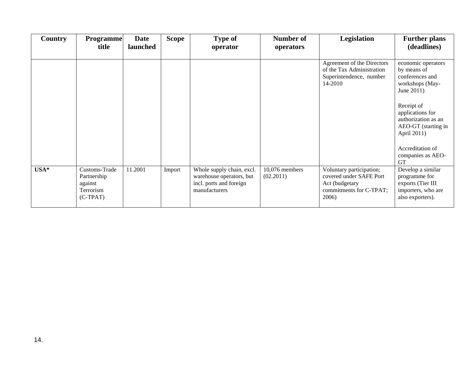| Country | <b>Programme</b><br>title                                          | <b>Date</b><br>launched | <b>Scope</b> | <b>Type of</b><br>operator                                                                        | Number of<br>operators      | Legislation                                                                                               | <b>Further plans</b><br>(deadlines)                                                                                                                                                                                                        |
|---------|--------------------------------------------------------------------|-------------------------|--------------|---------------------------------------------------------------------------------------------------|-----------------------------|-----------------------------------------------------------------------------------------------------------|--------------------------------------------------------------------------------------------------------------------------------------------------------------------------------------------------------------------------------------------|
|         |                                                                    |                         |              |                                                                                                   |                             | Agreement of the Directors<br>of the Tax Administration<br>Superintendence, number<br>14-2010             | economic operators<br>by means of<br>conferences and<br>workshops (May-<br>June 2011)<br>Receipt of<br>applications for<br>authorization as an<br>AEO-GT (starting in<br>April 2011)<br>Accreditation of<br>companies as AEO-<br><b>GT</b> |
| $USA*$  | Customs-Trade<br>Partnership<br>against<br>Terrorism<br>$(C-TPAT)$ | 11.2001                 | Import       | Whole supply chain, excl.<br>warehouse operators, but<br>incl. ports and foreign<br>manufacturers | 10,076 members<br>(02.2011) | Voluntary participation;<br>covered under SAFE Port<br>Act (budgetary<br>commitments for C-TPAT;<br>2006) | Develop a similar<br>programme for<br>exports (Tier III<br>importers, who are<br>also exporters).                                                                                                                                          |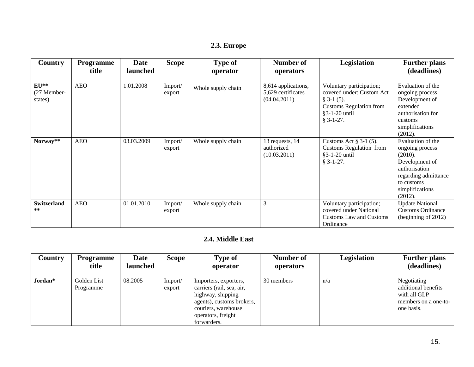| Country                                                | <b>Programme</b><br>title | <b>Date</b><br>launched | <b>Scope</b>      | <b>Type of</b><br>operator | Number of<br>operators                                    | Legislation                                                                                                                             | <b>Further plans</b><br>(deadlines)                                                                                                                    |
|--------------------------------------------------------|---------------------------|-------------------------|-------------------|----------------------------|-----------------------------------------------------------|-----------------------------------------------------------------------------------------------------------------------------------------|--------------------------------------------------------------------------------------------------------------------------------------------------------|
| $\mathbf{E} \mathbf{U}^{**}$<br>(27 Member-<br>states) | <b>AEO</b>                | 1.01.2008               | Import/<br>export | Whole supply chain         | 8,614 applications,<br>5,629 certificates<br>(04.04.2011) | Voluntary participation;<br>covered under: Custom Act<br>$§$ 3-1 (5).<br><b>Customs Regulation from</b><br>§3-1-20 until<br>$§$ 3-1-27. | Evaluation of the<br>ongoing process.<br>Development of<br>extended<br>authorisation for<br>customs<br>simplifications<br>(2012).                      |
| Norway**                                               | <b>AEO</b>                | 03.03.2009              | Import/<br>export | Whole supply chain         | 13 requests, 14<br>authorized<br>(10.03.2011)             | Customs Act $\S 3-1$ (5).<br><b>Customs Regulation from</b><br>$§3-1-20$ until<br>$§ 3-1-27.$                                           | Evaluation of the<br>ongoing process<br>(2010).<br>Development of<br>authorisation<br>regarding admittance<br>to customs<br>simplifications<br>(2012). |
| <b>Switzerland</b><br>**                               | <b>AEO</b>                | 01.01.2010              | Import/<br>export | Whole supply chain         | 3                                                         | Voluntary participation;<br>covered under National<br>Customs Law and Customs<br>Ordinance                                              | <b>Update National</b><br><b>Customs Ordinance</b><br>(beginning of 2012)                                                                              |

### **2.4. Middle East**

<span id="page-14-0"></span>

| Country | <b>Programme</b><br>title | <b>Date</b><br>launched | Scope             | Type of<br>operator                                                                                                                                              | Number of<br>operators | Legislation | <b>Further plans</b><br>(deadlines)                                                      |
|---------|---------------------------|-------------------------|-------------------|------------------------------------------------------------------------------------------------------------------------------------------------------------------|------------------------|-------------|------------------------------------------------------------------------------------------|
| Jordan* | Golden List<br>Programme  | 08.2005                 | Import/<br>export | Importers, exporters,<br>carriers (rail, sea, air,<br>highway, shipping<br>agents), customs brokers,<br>couriers, warehouse<br>operators, freight<br>forwarders. | 30 members             | n/a         | Negotiating<br>additional benefits<br>with all GLP<br>members on a one-to-<br>one basis. |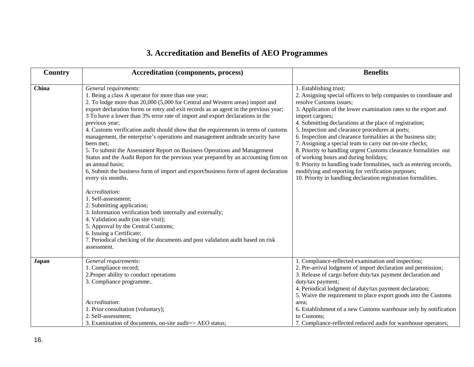# **3. Accreditation and Benefits of AEO Programmes**

<span id="page-15-0"></span>

| Country      | <b>Accreditation (components, process)</b>                                                                                                                                                                                                                                                                                                                                                                                                                                                                                                                                                                                                                                                                                                                                                                                                                                                                                                                                                                                                                                                                                                                                                           | <b>Benefits</b>                                                                                                                                                                                                                                                                                                                                                                                                                                                                                                                                                                                                                                                                                                                                                        |
|--------------|------------------------------------------------------------------------------------------------------------------------------------------------------------------------------------------------------------------------------------------------------------------------------------------------------------------------------------------------------------------------------------------------------------------------------------------------------------------------------------------------------------------------------------------------------------------------------------------------------------------------------------------------------------------------------------------------------------------------------------------------------------------------------------------------------------------------------------------------------------------------------------------------------------------------------------------------------------------------------------------------------------------------------------------------------------------------------------------------------------------------------------------------------------------------------------------------------|------------------------------------------------------------------------------------------------------------------------------------------------------------------------------------------------------------------------------------------------------------------------------------------------------------------------------------------------------------------------------------------------------------------------------------------------------------------------------------------------------------------------------------------------------------------------------------------------------------------------------------------------------------------------------------------------------------------------------------------------------------------------|
| China        | General requirements:<br>1. Being a class A operator for more than one year;<br>2. To lodge more than 20,000 (5,000 for Central and Western areas) import and<br>export declaration forms or entry and exit records as an agent in the previous year;<br>3 To have a lower than 3% error rate of import and export declarations in the<br>previous year;<br>4. Customs verification audit should show that the requirements in terms of customs<br>management, the enterprise's operations and management andtrade security have<br>been met;<br>5. To submit the Assessment Report on Business Operations and Management<br>Status and the Audit Report for the previous year prepared by an accounting firm on<br>an annual basis;<br>6, Submit the business form of import and export/business form of agent declaration<br>every six months.<br>Accreditation:<br>1. Self-assessment;<br>2. Submitting application;<br>3. Information verification both internally and externally;<br>4. Validation audit (on site visit);<br>5. Approval by the Central Customs;<br>6. Issuing a Certificate;<br>7. Periodical checking of the documents and post validation audit based on risk<br>assessment. | 1. Establishing trust;<br>2. Assigning special officers to help companies to coordinate and<br>resolve Customs issues;<br>3. Application of the lower examination rates to the export and<br>import cargoes;<br>4. Submitting declarations at the place of registration;<br>5. Inspection and clearance procedures at ports;<br>6. Inspection and clearance formalities at the business site;<br>7. Assigning a special team to carry out on-site checks;<br>8. Priority to handling urgent Customs clearance formalities out<br>of working hours and during holidays;<br>9. Priority in handling trade formalities, such as entering records,<br>modifying and reporting for verification purposes;<br>10. Priority in handling declaration registration formalities. |
| <b>Japan</b> | General requirements:<br>1. Compliance record;<br>2. Proper ability to conduct operations<br>3. Compliance programme<br>Accreditation:<br>1. Prior consultation (voluntary);<br>2. Self-assessment;<br>3. Examination of documents, on-site audit=> AEO status;                                                                                                                                                                                                                                                                                                                                                                                                                                                                                                                                                                                                                                                                                                                                                                                                                                                                                                                                      | 1. Compliance-reflected examination and inspection;<br>2. Pre-arrival lodgment of import declaration and permission;<br>3. Release of cargo before duty/tax payment declaration and<br>duty/tax payment;<br>4. Periodical lodgment of duty/tax payment declaration;<br>5. Waive the requirement to place export goods into the Customs<br>area;<br>6. Establishment of a new Customs warehouse only by notification<br>to Customs;<br>7. Compliance-reflected reduced audit for warehouse operators;                                                                                                                                                                                                                                                                   |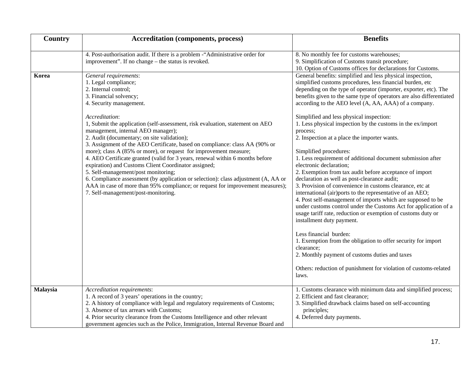| Country  | <b>Accreditation (components, process)</b>                                                                                                                                                                                                                                                                                                                                                                                                                                                                                                                                                                                                                                                                                                                                                                                                                            | <b>Benefits</b>                                                                                                                                                                                                                                                                                                                                                                                                                                                                                                                                                                                                                                                                                                                                                                                                                                                                                                                                                                                                                                                                                                                                                                                                                                                                                                            |  |  |
|----------|-----------------------------------------------------------------------------------------------------------------------------------------------------------------------------------------------------------------------------------------------------------------------------------------------------------------------------------------------------------------------------------------------------------------------------------------------------------------------------------------------------------------------------------------------------------------------------------------------------------------------------------------------------------------------------------------------------------------------------------------------------------------------------------------------------------------------------------------------------------------------|----------------------------------------------------------------------------------------------------------------------------------------------------------------------------------------------------------------------------------------------------------------------------------------------------------------------------------------------------------------------------------------------------------------------------------------------------------------------------------------------------------------------------------------------------------------------------------------------------------------------------------------------------------------------------------------------------------------------------------------------------------------------------------------------------------------------------------------------------------------------------------------------------------------------------------------------------------------------------------------------------------------------------------------------------------------------------------------------------------------------------------------------------------------------------------------------------------------------------------------------------------------------------------------------------------------------------|--|--|
|          | 4. Post-authorisation audit. If there is a problem -"Administrative order for<br>improvement". If no change - the status is revoked.                                                                                                                                                                                                                                                                                                                                                                                                                                                                                                                                                                                                                                                                                                                                  | 8. No monthly fee for customs warehouses;<br>9. Simplification of Customs transit procedure;<br>10. Option of Customs offices for declarations for Customs.                                                                                                                                                                                                                                                                                                                                                                                                                                                                                                                                                                                                                                                                                                                                                                                                                                                                                                                                                                                                                                                                                                                                                                |  |  |
| Korea    | General requirements:<br>1. Legal compliance;<br>2. Internal control;<br>3. Financial solvency;<br>4. Security management.<br>Accreditation:<br>1, Submit the application (self-assessment, risk evaluation, statement on AEO<br>management, internal AEO manager);<br>2. Audit (documentary; on site validation);<br>3. Assignment of the AEO Certificate, based on compliance: class AA (90% or<br>more); class A (85% or more), or request for improvement measure;<br>4. AEO Certificate granted (valid for 3 years, renewal within 6 months before<br>expiration) and Customs Client Coordinator assigned;<br>5. Self-management/post monitoring;<br>6. Compliance assessment (by application or selection): class adjustment (A, AA or<br>AAA in case of more than 95% compliance; or request for improvement measures);<br>7. Self-management/post-monitoring. | General benefits: simplified and less physical inspection,<br>simplified customs procedures, less financial burden, etc<br>depending on the type of operator (importer, exporter, etc). The<br>benefits given to the same type of operators are also differentiated<br>according to the AEO level (A, AA, AAA) of a company.<br>Simplified and less physical inspection:<br>1. Less physical inspection by the customs in the ex/import<br>process:<br>2. Inspection at a place the importer wants.<br>Simplified procedures:<br>1. Less requirement of additional document submission after<br>electronic declaration;<br>2. Exemption from tax audit before acceptance of import<br>declaration as well as post-clearance audit;<br>3. Provision of convenience in customs clearance, etc at<br>international (air)ports to the representative of an AEO;<br>4. Post self-management of imports which are supposed to be<br>under customs control under the Customs Act for application of a<br>usage tariff rate, reduction or exemption of customs duty or<br>installment duty payment.<br>Less financial burden:<br>1. Exemption from the obligation to offer security for import<br>clearance;<br>2. Monthly payment of customs duties and taxes<br>Others: reduction of punishment for violation of customs-related |  |  |
| Malaysia | Accreditation requirements:<br>1. A record of 3 years' operations in the country;<br>2. A history of compliance with legal and regulatory requirements of Customs;<br>3. Absence of tax arrears with Customs;                                                                                                                                                                                                                                                                                                                                                                                                                                                                                                                                                                                                                                                         | laws.<br>1. Customs clearance with minimum data and simplified process;<br>2. Efficient and fast clearance;<br>3. Simplified drawback claims based on self-accounting<br>principles;<br>4. Deferred duty payments.                                                                                                                                                                                                                                                                                                                                                                                                                                                                                                                                                                                                                                                                                                                                                                                                                                                                                                                                                                                                                                                                                                         |  |  |
|          | 4. Prior security clearance from the Customs Intelligence and other relevant<br>government agencies such as the Police, Immigration, Internal Revenue Board and                                                                                                                                                                                                                                                                                                                                                                                                                                                                                                                                                                                                                                                                                                       |                                                                                                                                                                                                                                                                                                                                                                                                                                                                                                                                                                                                                                                                                                                                                                                                                                                                                                                                                                                                                                                                                                                                                                                                                                                                                                                            |  |  |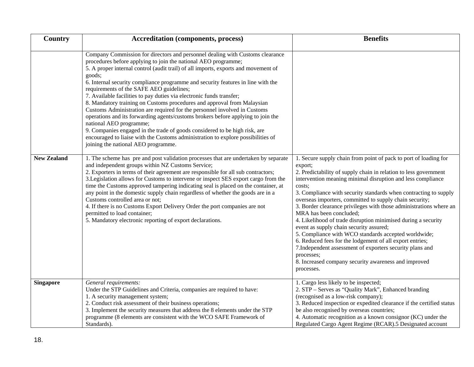| Country            | <b>Accreditation (components, process)</b>                                                                                                                                                                                                                                                                                                                                                                                                                                                                                                                                                                                                                                                                                                                                                                                                                                                                                              | <b>Benefits</b>                                                                                                                                                                                                                                                                                                                                                                                                                                                                                                                                                                                                                                                                                                                                                                                                                           |  |  |
|--------------------|-----------------------------------------------------------------------------------------------------------------------------------------------------------------------------------------------------------------------------------------------------------------------------------------------------------------------------------------------------------------------------------------------------------------------------------------------------------------------------------------------------------------------------------------------------------------------------------------------------------------------------------------------------------------------------------------------------------------------------------------------------------------------------------------------------------------------------------------------------------------------------------------------------------------------------------------|-------------------------------------------------------------------------------------------------------------------------------------------------------------------------------------------------------------------------------------------------------------------------------------------------------------------------------------------------------------------------------------------------------------------------------------------------------------------------------------------------------------------------------------------------------------------------------------------------------------------------------------------------------------------------------------------------------------------------------------------------------------------------------------------------------------------------------------------|--|--|
|                    | Company Commission for directors and personnel dealing with Customs clearance<br>procedures before applying to join the national AEO programme;<br>5. A proper internal control (audit trail) of all imports, exports and movement of<br>goods;<br>6. Internal security compliance programme and security features in line with the<br>requirements of the SAFE AEO guidelines;<br>7. Available facilities to pay duties via electronic funds transfer;<br>8. Mandatory training on Customs procedures and approval from Malaysian<br>Customs Administration are required for the personnel involved in Customs<br>operations and its forwarding agents/customs brokers before applying to join the<br>national AEO programme;<br>9. Companies engaged in the trade of goods considered to be high risk, are<br>encouraged to liaise with the Customs administration to explore possibilities of<br>joining the national AEO programme. |                                                                                                                                                                                                                                                                                                                                                                                                                                                                                                                                                                                                                                                                                                                                                                                                                                           |  |  |
| <b>New Zealand</b> | 1. The scheme has pre and post validation processes that are undertaken by separate<br>and independent groups within NZ Customs Service;<br>2. Exporters in terms of their agreement are responsible for all sub contractors;<br>3. Legislation allows for Customs to intervene or inspect SES export cargo from the<br>time the Customs approved tampering indicating seal is placed on the container, at<br>any point in the domestic supply chain regardless of whether the goods are in a<br>Customs controlled area or not;<br>4. If there is no Customs Export Delivery Order the port companies are not<br>permitted to load container;<br>5. Mandatory electronic reporting of export declarations.                                                                                                                                                                                                                             | 1. Secure supply chain from point of pack to port of loading for<br>export;<br>2. Predictability of supply chain in relation to less government<br>intervention meaning minimal disruption and less compliance<br>costs;<br>3. Compliance with security standards when contracting to supply<br>overseas importers, committed to supply chain security;<br>3. Border clearance privileges with those administrations where an<br>MRA has been concluded;<br>4. Likelihood of trade disruption minimised during a security<br>event as supply chain security assured;<br>5. Compliance with WCO standards accepted worldwide;<br>6. Reduced fees for the lodgement of all export entries;<br>7. Independent assessment of exporters security plans and<br>processes;<br>8. Increased company security awareness and improved<br>processes. |  |  |
| <b>Singapore</b>   | General requirements:<br>Under the STP Guidelines and Criteria, companies are required to have:<br>1. A security management system;<br>2. Conduct risk assessment of their business operations;<br>3. Implement the security measures that address the 8 elements under the STP<br>programme (8 elements are consistent with the WCO SAFE Framework of<br>Standards).                                                                                                                                                                                                                                                                                                                                                                                                                                                                                                                                                                   | 1. Cargo less likely to be inspected;<br>2. STP - Serves as "Quality Mark", Enhanced branding<br>(recognised as a low-risk company);<br>3. Reduced inspection or expedited clearance if the certified status<br>be also recognised by overseas countries;<br>4. Automatic recognition as a known consignor (KC) under the<br>Regulated Cargo Agent Regime (RCAR).5 Designated account                                                                                                                                                                                                                                                                                                                                                                                                                                                     |  |  |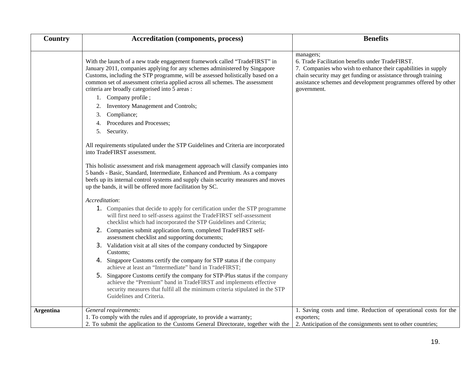| <b>Country</b>   | <b>Accreditation (components, process)</b>                                                                                                                                                                                                                                                                                                                                                           | <b>Benefits</b>                                                                                                                                                                                                                                                                  |  |  |
|------------------|------------------------------------------------------------------------------------------------------------------------------------------------------------------------------------------------------------------------------------------------------------------------------------------------------------------------------------------------------------------------------------------------------|----------------------------------------------------------------------------------------------------------------------------------------------------------------------------------------------------------------------------------------------------------------------------------|--|--|
|                  | With the launch of a new trade engagement framework called "TradeFIRST" in<br>January 2011, companies applying for any schemes administered by Singapore<br>Customs, including the STP programme, will be assessed holistically based on a<br>common set of assessment criteria applied across all schemes. The assessment<br>criteria are broadly categorised into 5 areas :<br>1. Company profile; | managers;<br>6. Trade Facilitation benefits under TradeFIRST.<br>7. Companies who wish to enhance their capabilities in supply<br>chain security may get funding or assistance through training<br>assistance schemes and development programmes offered by other<br>government. |  |  |
|                  | Inventory Management and Controls;<br>2.                                                                                                                                                                                                                                                                                                                                                             |                                                                                                                                                                                                                                                                                  |  |  |
|                  | Compliance;<br>3.                                                                                                                                                                                                                                                                                                                                                                                    |                                                                                                                                                                                                                                                                                  |  |  |
|                  | Procedures and Processes;<br>4.                                                                                                                                                                                                                                                                                                                                                                      |                                                                                                                                                                                                                                                                                  |  |  |
|                  | 5. Security.                                                                                                                                                                                                                                                                                                                                                                                         |                                                                                                                                                                                                                                                                                  |  |  |
|                  | All requirements stipulated under the STP Guidelines and Criteria are incorporated<br>into TradeFIRST assessment.                                                                                                                                                                                                                                                                                    |                                                                                                                                                                                                                                                                                  |  |  |
|                  | This holistic assessment and risk management approach will classify companies into<br>5 bands - Basic, Standard, Intermediate, Enhanced and Premium. As a company<br>beefs up its internal control systems and supply chain security measures and moves<br>up the bands, it will be offered more facilitation by SC.                                                                                 |                                                                                                                                                                                                                                                                                  |  |  |
|                  | Accreditation:                                                                                                                                                                                                                                                                                                                                                                                       |                                                                                                                                                                                                                                                                                  |  |  |
|                  | 1. Companies that decide to apply for certification under the STP programme<br>will first need to self-assess against the TradeFIRST self-assessment<br>checklist which had incorporated the STP Guidelines and Criteria;                                                                                                                                                                            |                                                                                                                                                                                                                                                                                  |  |  |
|                  | 2. Companies submit application form, completed TradeFIRST self-<br>assessment checklist and supporting documents;                                                                                                                                                                                                                                                                                   |                                                                                                                                                                                                                                                                                  |  |  |
|                  | 3. Validation visit at all sites of the company conducted by Singapore<br>Customs;                                                                                                                                                                                                                                                                                                                   |                                                                                                                                                                                                                                                                                  |  |  |
|                  | Singapore Customs certify the company for STP status if the company<br>4.<br>achieve at least an "Intermediate" band in TradeFIRST;                                                                                                                                                                                                                                                                  |                                                                                                                                                                                                                                                                                  |  |  |
|                  | Singapore Customs certify the company for STP-Plus status if the company<br>5.<br>achieve the "Premium" band in TradeFIRST and implements effective<br>security measures that fulfil all the minimum criteria stipulated in the STP<br>Guidelines and Criteria.                                                                                                                                      |                                                                                                                                                                                                                                                                                  |  |  |
| <b>Argentina</b> | General requirements:                                                                                                                                                                                                                                                                                                                                                                                | 1. Saving costs and time. Reduction of operational costs for the                                                                                                                                                                                                                 |  |  |
|                  | 1. To comply with the rules and if appropriate, to provide a warranty;                                                                                                                                                                                                                                                                                                                               | exporters;                                                                                                                                                                                                                                                                       |  |  |
|                  | 2. To submit the application to the Customs General Directorate, together with the                                                                                                                                                                                                                                                                                                                   | 2. Anticipation of the consignments sent to other countries;                                                                                                                                                                                                                     |  |  |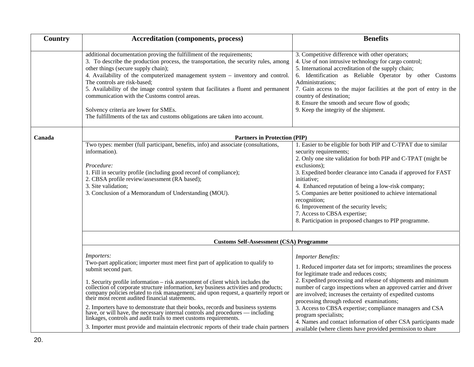| Country | <b>Accreditation (components, process)</b>                                                                                                                                                                                                                                                                                                                                                                                                                                                                                                                                             | <b>Benefits</b>                                                                                                                                                                                                                                                                                                                                                                                                                                                                                                                       |  |  |  |  |
|---------|----------------------------------------------------------------------------------------------------------------------------------------------------------------------------------------------------------------------------------------------------------------------------------------------------------------------------------------------------------------------------------------------------------------------------------------------------------------------------------------------------------------------------------------------------------------------------------------|---------------------------------------------------------------------------------------------------------------------------------------------------------------------------------------------------------------------------------------------------------------------------------------------------------------------------------------------------------------------------------------------------------------------------------------------------------------------------------------------------------------------------------------|--|--|--|--|
|         | additional documentation proving the fulfillment of the requirements;<br>3. To describe the production process, the transportation, the security rules, among<br>other things (secure supply chain);<br>4. Availability of the computerized management system - inventory and control.<br>The controls are risk-based;<br>5. Availability of the image control system that facilitates a fluent and permanent<br>communication with the Customs control areas.<br>Solvency criteria are lower for SMEs.<br>The fulfillments of the tax and customs obligations are taken into account. | 3. Competitive difference with other operators;<br>4. Use of non intrusive technology for cargo control;<br>5. International accreditation of the supply chain;<br>6. Identification as Reliable Operator by other Customs<br>Administrations;<br>7. Gain access to the major facilities at the port of entry in the<br>country of destination;<br>8. Ensure the smooth and secure flow of goods;<br>9. Keep the integrity of the shipment.                                                                                           |  |  |  |  |
| Canada  | <b>Partners in Protection (PIP)</b>                                                                                                                                                                                                                                                                                                                                                                                                                                                                                                                                                    |                                                                                                                                                                                                                                                                                                                                                                                                                                                                                                                                       |  |  |  |  |
|         | Two types: member (full participant, benefits, info) and associate (consultations,<br>information).<br>Procedure:<br>1. Fill in security profile (including good record of compliance);<br>2. CBSA profile review/assessment (RA based);<br>3. Site validation;<br>3. Conclusion of a Memorandum of Understanding (MOU).                                                                                                                                                                                                                                                               | 1. Easier to be eligible for both PIP and C-TPAT due to similar<br>security requirements;<br>2. Only one site validation for both PIP and C-TPAT (might be<br>exclusions);<br>3. Expedited border clearance into Canada if approved for FAST<br>initiative;<br>4. Enhanced reputation of being a low-risk company;<br>5. Companies are better positioned to achieve international<br>recognition;<br>6. Improvement of the security levels;<br>7. Access to CBSA expertise;<br>8. Participation in proposed changes to PIP programme. |  |  |  |  |
|         | <b>Customs Self-Assessment (CSA) Programme</b>                                                                                                                                                                                                                                                                                                                                                                                                                                                                                                                                         |                                                                                                                                                                                                                                                                                                                                                                                                                                                                                                                                       |  |  |  |  |
|         | Importers:<br>Two-part application; importer must meet first part of application to qualify to<br>submit second part.<br>1. Security profile information - risk assessment of client which includes the<br>collection of corporate structure information, key business activities and products;<br>company policies related to risk management; and upon request, a quarterly report or their most recent audited financial statements.<br>2. Importers have to demonstrate that their books, records and business systems                                                             | <b>Importer Benefits:</b><br>1. Reduced importer data set for imports; streamlines the process<br>for legitimate trade and reduces costs;<br>2. Expedited processing and release of shipments and minimum<br>number of cargo inspections when an approved carrier and driver<br>are involved; increases the certainty of expedited customs<br>processing through reduced examinations;<br>3. Access to CBSA expertise; compliance managers and CSA                                                                                    |  |  |  |  |
|         | have, or will have, the necessary internal controls and procedures — including<br>linkages, controls and audit trails to meet customs requirements.<br>3. Importer must provide and maintain electronic reports of their trade chain partners                                                                                                                                                                                                                                                                                                                                          | program specialists;<br>4. Names and contact information of other CSA participants made<br>available (where clients have provided permission to share                                                                                                                                                                                                                                                                                                                                                                                 |  |  |  |  |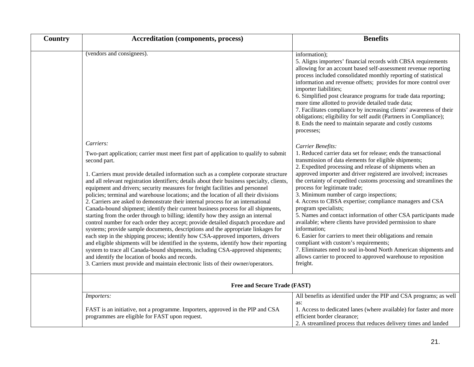| <b>Country</b> | <b>Accreditation (components, process)</b>                                                                                                                                                                                                                                                                                                                                                                                                                                                                                                                                                                                                                                                                                                                                                                                                                                                                                                                                                                                                                                                                                                                                                                                                                                                                                     | <b>Benefits</b>                                                                                                                                                                                                                                                                                                                                                                                                                                                                                                                                                                                                                                                                                                                                                                                                                                                                                                            |  |  |  |
|----------------|--------------------------------------------------------------------------------------------------------------------------------------------------------------------------------------------------------------------------------------------------------------------------------------------------------------------------------------------------------------------------------------------------------------------------------------------------------------------------------------------------------------------------------------------------------------------------------------------------------------------------------------------------------------------------------------------------------------------------------------------------------------------------------------------------------------------------------------------------------------------------------------------------------------------------------------------------------------------------------------------------------------------------------------------------------------------------------------------------------------------------------------------------------------------------------------------------------------------------------------------------------------------------------------------------------------------------------|----------------------------------------------------------------------------------------------------------------------------------------------------------------------------------------------------------------------------------------------------------------------------------------------------------------------------------------------------------------------------------------------------------------------------------------------------------------------------------------------------------------------------------------------------------------------------------------------------------------------------------------------------------------------------------------------------------------------------------------------------------------------------------------------------------------------------------------------------------------------------------------------------------------------------|--|--|--|
|                | (vendors and consignees).                                                                                                                                                                                                                                                                                                                                                                                                                                                                                                                                                                                                                                                                                                                                                                                                                                                                                                                                                                                                                                                                                                                                                                                                                                                                                                      | information);<br>5. Aligns importers' financial records with CBSA requirements<br>allowing for an account based self-assessment revenue reporting<br>process included consolidated monthly reporting of statistical<br>information and revenue offsets; provides for more control over<br>importer liabilities;<br>6. Simplified post clearance programs for trade data reporting;<br>more time allotted to provide detailed trade data;<br>7. Facilitates compliance by increasing clients' awareness of their<br>obligations; eligibility for self audit (Partners in Compliance);<br>8. Ends the need to maintain separate and costly customs<br>processes;                                                                                                                                                                                                                                                             |  |  |  |
|                | Carriers:<br>Two-part application; carrier must meet first part of application to qualify to submit<br>second part.<br>1. Carriers must provide detailed information such as a complete corporate structure<br>and all relevant registration identifiers; details about their business specialty, clients,<br>equipment and drivers; security measures for freight facilities and personnel<br>policies; terminal and warehouse locations; and the location of all their divisions<br>2. Carriers are asked to demonstrate their internal process for an international<br>Canada-bound shipment; identify their current business process for all shipments,<br>starting from the order through to billing; identify how they assign an internal<br>control number for each order they accept; provide detailed dispatch procedure and<br>systems; provide sample documents, descriptions and the appropriate linkages for<br>each step in the shipping process; identify how CSA-approved importers, drivers<br>and eligible shipments will be identified in the systems, identify how their reporting<br>system to trace all Canada-bound shipments, including CSA-approved shipments;<br>and identify the location of books and records.<br>3. Carriers must provide and maintain electronic lists of their owner/operators. | Carrier Benefits:<br>1. Reduced carrier data set for release; ends the transactional<br>transmission of data elements for eligible shipments;<br>2. Expedited processing and release of shipments when an<br>approved importer and driver registered are involved; increases<br>the certainty of expedited customs processing and streamlines the<br>process for legitimate trade;<br>3. Minimum number of cargo inspections;<br>4. Access to CBSA expertise; compliance managers and CSA<br>program specialists;<br>5. Names and contact information of other CSA participants made<br>available; where clients have provided permission to share<br>information;<br>6. Easier for carriers to meet their obligations and remain<br>compliant with custom's requirements;<br>7. Eliminates need to seal in-bond North American shipments and<br>allows carrier to proceed to approved warehouse to reposition<br>freight. |  |  |  |
|                | Free and Secure Trade (FAST)                                                                                                                                                                                                                                                                                                                                                                                                                                                                                                                                                                                                                                                                                                                                                                                                                                                                                                                                                                                                                                                                                                                                                                                                                                                                                                   |                                                                                                                                                                                                                                                                                                                                                                                                                                                                                                                                                                                                                                                                                                                                                                                                                                                                                                                            |  |  |  |
|                | Importers:<br>FAST is an initiative, not a programme. Importers, approved in the PIP and CSA<br>programmes are eligible for FAST upon request.                                                                                                                                                                                                                                                                                                                                                                                                                                                                                                                                                                                                                                                                                                                                                                                                                                                                                                                                                                                                                                                                                                                                                                                 | All benefits as identified under the PIP and CSA programs; as well<br>as:<br>1. Access to dedicated lanes (where available) for faster and more<br>efficient border clearance;<br>2. A streamlined process that reduces delivery times and landed                                                                                                                                                                                                                                                                                                                                                                                                                                                                                                                                                                                                                                                                          |  |  |  |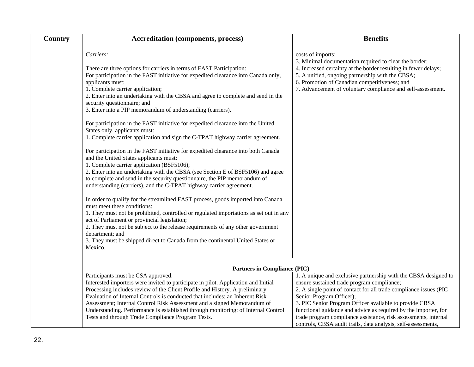| <b>Country</b> | <b>Accreditation (components, process)</b>                                                                                                                                                                                                                                                                                                                                                                                                                                                                   | <b>Benefits</b>                                                                                                                                                                                                                                                                                                                                                                                                                                                                  |  |  |
|----------------|--------------------------------------------------------------------------------------------------------------------------------------------------------------------------------------------------------------------------------------------------------------------------------------------------------------------------------------------------------------------------------------------------------------------------------------------------------------------------------------------------------------|----------------------------------------------------------------------------------------------------------------------------------------------------------------------------------------------------------------------------------------------------------------------------------------------------------------------------------------------------------------------------------------------------------------------------------------------------------------------------------|--|--|
|                | Carriers:<br>There are three options for carriers in terms of FAST Participation:<br>For participation in the FAST initiative for expedited clearance into Canada only,<br>applicants must:<br>1. Complete carrier application;<br>2. Enter into an undertaking with the CBSA and agree to complete and send in the<br>security questionnaire; and<br>3. Enter into a PIP memorandum of understanding (carriers).                                                                                            | costs of imports;<br>3. Minimal documentation required to clear the border;<br>4. Increased certainty at the border resulting in fewer delays;<br>5. A unified, ongoing partnership with the CBSA;<br>6. Promotion of Canadian competitiveness; and<br>7. Advancement of voluntary compliance and self-assessment.                                                                                                                                                               |  |  |
|                | For participation in the FAST initiative for expedited clearance into the United<br>States only, applicants must:<br>1. Complete carrier application and sign the C-TPAT highway carrier agreement.                                                                                                                                                                                                                                                                                                          |                                                                                                                                                                                                                                                                                                                                                                                                                                                                                  |  |  |
|                | For participation in the FAST initiative for expedited clearance into both Canada<br>and the United States applicants must:<br>1. Complete carrier application (BSF5106);<br>2. Enter into an undertaking with the CBSA (see Section E of BSF5106) and agree<br>to complete and send in the security questionnaire, the PIP memorandum of<br>understanding (carriers), and the C-TPAT highway carrier agreement.                                                                                             |                                                                                                                                                                                                                                                                                                                                                                                                                                                                                  |  |  |
|                | In order to qualify for the streamlined FAST process, goods imported into Canada<br>must meet these conditions:<br>1. They must not be prohibited, controlled or regulated importations as set out in any<br>act of Parliament or provincial legislation;<br>2. They must not be subject to the release requirements of any other government<br>department; and<br>3. They must be shipped direct to Canada from the continental United States or<br>Mexico.                                                 |                                                                                                                                                                                                                                                                                                                                                                                                                                                                                  |  |  |
|                | <b>Partners in Compliance (PIC)</b>                                                                                                                                                                                                                                                                                                                                                                                                                                                                          |                                                                                                                                                                                                                                                                                                                                                                                                                                                                                  |  |  |
|                | Participants must be CSA approved.<br>Interested importers were invited to participate in pilot. Application and Initial<br>Processing includes review of the Client Profile and History. A preliminary<br>Evaluation of Internal Controls is conducted that includes: an Inherent Risk<br>Assessment; Internal Control Risk Assessment and a signed Memorandum of<br>Understanding. Performance is established through monitoring: of Internal Control<br>Tests and through Trade Compliance Program Tests. | 1. A unique and exclusive partnership with the CBSA designed to<br>ensure sustained trade program compliance;<br>2. A single point of contact for all trade compliance issues (PIC<br>Senior Program Officer);<br>3. PIC Senior Program Officer available to provide CBSA<br>functional guidance and advice as required by the importer, for<br>trade program compliance assistance, risk assessments, internal<br>controls, CBSA audit trails, data analysis, self-assessments, |  |  |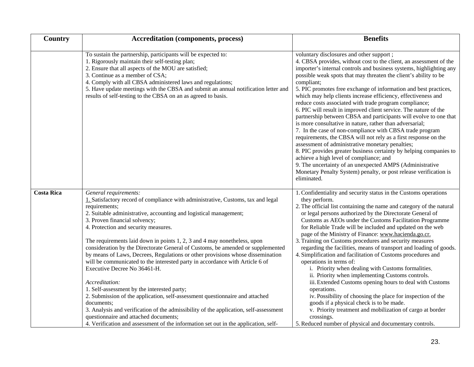| Country           | <b>Accreditation (components, process)</b>                                                                                                                                                                                                                                                                                                                                                                                                                                                                                                                                                                                                                                                                                                                                                                                                                                                                                                                                                                                        | <b>Benefits</b>                                                                                                                                                                                                                                                                                                                                                                                                                                                                                                                                                                                                                                                                                                                                                                                                                                                                                                                                                                                                                                                                                                                 |  |  |
|-------------------|-----------------------------------------------------------------------------------------------------------------------------------------------------------------------------------------------------------------------------------------------------------------------------------------------------------------------------------------------------------------------------------------------------------------------------------------------------------------------------------------------------------------------------------------------------------------------------------------------------------------------------------------------------------------------------------------------------------------------------------------------------------------------------------------------------------------------------------------------------------------------------------------------------------------------------------------------------------------------------------------------------------------------------------|---------------------------------------------------------------------------------------------------------------------------------------------------------------------------------------------------------------------------------------------------------------------------------------------------------------------------------------------------------------------------------------------------------------------------------------------------------------------------------------------------------------------------------------------------------------------------------------------------------------------------------------------------------------------------------------------------------------------------------------------------------------------------------------------------------------------------------------------------------------------------------------------------------------------------------------------------------------------------------------------------------------------------------------------------------------------------------------------------------------------------------|--|--|
|                   | To sustain the partnership, participants will be expected to:<br>1. Rigorously maintain their self-testing plan;<br>2. Ensure that all aspects of the MOU are satisfied;<br>3. Continue as a member of CSA;<br>4. Comply with all CBSA administered laws and regulations;<br>5. Have update meetings with the CBSA and submit an annual notification letter and<br>results of self-testing to the CBSA on an as agreed to basis.                                                                                                                                                                                                                                                                                                                                                                                                                                                                                                                                                                                                  | voluntary disclosures and other support;<br>4. CBSA provides, without cost to the client, an assessment of the<br>importer's internal controls and business systems, highlighting any<br>possible weak spots that may threaten the client's ability to be<br>compliant;<br>5. PIC promotes free exchange of information and best practices,<br>which may help clients increase efficiency, effectiveness and<br>reduce costs associated with trade program compliance;<br>6. PIC will result in improved client service. The nature of the<br>partnership between CBSA and participants will evolve to one that<br>is more consultative in nature, rather than adversarial;<br>7. In the case of non-compliance with CBSA trade program<br>requirements, the CBSA will not rely as a first response on the<br>assessment of administrative monetary penalties;<br>8. PIC provides greater business certainty by helping companies to<br>achieve a high level of compliance; and<br>9. The uncertainty of an unexpected AMPS (Administrative<br>Monetary Penalty System) penalty, or post release verification is<br>eliminated. |  |  |
| <b>Costa Rica</b> | General requirements:<br>1. Satisfactory record of compliance with administrative, Customs, tax and legal<br>requirements;<br>2. Suitable administrative, accounting and logistical management;<br>3. Proven financial solvency;<br>4. Protection and security measures.<br>The requirements laid down in points 1, 2, 3 and 4 may nonetheless, upon<br>consideration by the Directorate General of Customs, be amended or supplemented<br>by means of Laws, Decrees, Regulations or other provisions whose dissemination<br>will be communicated to the interested party in accordance with Article 6 of<br>Executive Decree No 36461-H.<br>Accreditation:<br>1. Self-assessment by the interested party;<br>2. Submission of the application, self-assessment questionnaire and attached<br>documents;<br>3. Analysis and verification of the admissibility of the application, self-assessment<br>questionnaire and attached documents;<br>4. Verification and assessment of the information set out in the application, self- | 1. Confidentiality and security status in the Customs operations<br>they perform.<br>2. The official list containing the name and category of the natural<br>or legal persons authorized by the Directorate General of<br>Customs as AEOs under the Customs Facilitation Programme<br>for Reliable Trade will be included and updated on the web<br>page of the Ministry of Finance: www.hacienda.go.cr.<br>3. Training on Customs procedures and security measures<br>regarding the facilities, means of transport and loading of goods.<br>4. Simplification and facilitation of Customs procedures and<br>operations in terms of:<br>i. Priority when dealing with Customs formalities.<br>ii. Priority when implementing Customs controls.<br>iii. Extended Customs opening hours to deal with Customs<br>operations.<br>iv. Possibility of choosing the place for inspection of the<br>goods if a physical check is to be made.<br>v. Priority treatment and mobilization of cargo at border<br>crossings.<br>5. Reduced number of physical and documentary controls.                                                      |  |  |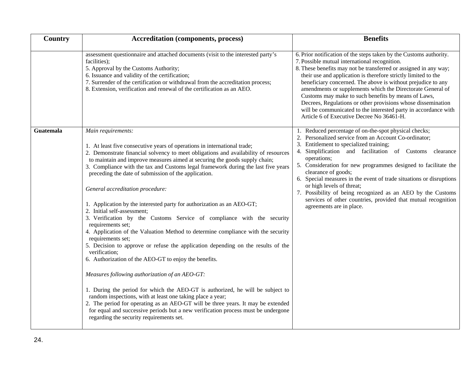| Country          | <b>Accreditation (components, process)</b>                                                                                                                                                                                                                                                                                                                                                                                                                                                                                                                                                                                                                                                                                                                                                                                                                                                                                                                                                                                                                                                                                                                                                                                                                                                                                                                 | <b>Benefits</b>                                                                                                                                                                                                                                                                                                                                                                                                                                                                                                                                                                                                                |  |  |
|------------------|------------------------------------------------------------------------------------------------------------------------------------------------------------------------------------------------------------------------------------------------------------------------------------------------------------------------------------------------------------------------------------------------------------------------------------------------------------------------------------------------------------------------------------------------------------------------------------------------------------------------------------------------------------------------------------------------------------------------------------------------------------------------------------------------------------------------------------------------------------------------------------------------------------------------------------------------------------------------------------------------------------------------------------------------------------------------------------------------------------------------------------------------------------------------------------------------------------------------------------------------------------------------------------------------------------------------------------------------------------|--------------------------------------------------------------------------------------------------------------------------------------------------------------------------------------------------------------------------------------------------------------------------------------------------------------------------------------------------------------------------------------------------------------------------------------------------------------------------------------------------------------------------------------------------------------------------------------------------------------------------------|--|--|
|                  | assessment questionnaire and attached documents (visit to the interested party's<br>facilities);<br>5. Approval by the Customs Authority;<br>6. Issuance and validity of the certification;<br>7. Surrender of the certification or withdrawal from the accreditation process;<br>8. Extension, verification and renewal of the certification as an AEO.                                                                                                                                                                                                                                                                                                                                                                                                                                                                                                                                                                                                                                                                                                                                                                                                                                                                                                                                                                                                   | 6. Prior notification of the steps taken by the Customs authority.<br>7. Possible mutual international recognition.<br>8. These benefits may not be transferred or assigned in any way;<br>their use and application is therefore strictly limited to the<br>beneficiary concerned. The above is without prejudice to any<br>amendments or supplements which the Directorate General of<br>Customs may make to such benefits by means of Laws,<br>Decrees, Regulations or other provisions whose dissemination<br>will be communicated to the interested party in accordance with<br>Article 6 of Executive Decree No 36461-H. |  |  |
| <b>Guatemala</b> | Main requirements:<br>1. At least five consecutive years of operations in international trade;<br>2. Demonstrate financial solvency to meet obligations and availability of resources<br>to maintain and improve measures aimed at securing the goods supply chain;<br>3. Compliance with the tax and Customs legal framework during the last five years<br>preceding the date of submission of the application.<br>General accreditation procedure:<br>1. Application by the interested party for authorization as an AEO-GT;<br>2. Initial self-assessment;<br>3. Verification by the Customs Service of compliance with the security<br>requirements set;<br>4. Application of the Valuation Method to determine compliance with the security<br>requirements set;<br>5. Decision to approve or refuse the application depending on the results of the<br>verification;<br>6. Authorization of the AEO-GT to enjoy the benefits.<br>Measures following authorization of an AEO-GT:<br>1. During the period for which the AEO-GT is authorized, he will be subject to<br>random inspections, with at least one taking place a year;<br>2. The period for operating as an AEO-GT will be three years. It may be extended<br>for equal and successive periods but a new verification process must be undergone<br>regarding the security requirements set. | 1. Reduced percentage of on-the-spot physical checks;<br>2. Personalized service from an Account Co-ordinator;<br>Entitlement to specialized training;<br>4. Simplification and facilitation of Customs clearance<br>operations;<br>5. Consideration for new programmes designed to facilitate the<br>clearance of goods;<br>6. Special measures in the event of trade situations or disruptions<br>or high levels of threat;<br>7. Possibility of being recognized as an AEO by the Customs<br>services of other countries, provided that mutual recognition<br>agreements are in place.                                      |  |  |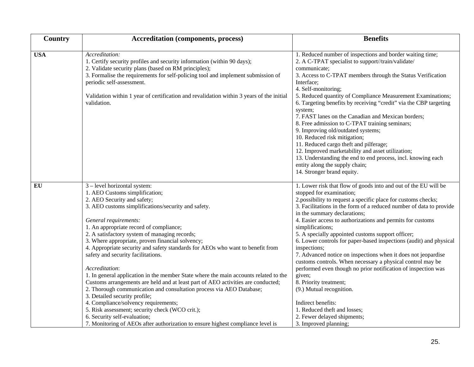| Country    | <b>Accreditation (components, process)</b>                                                                                                                                                                                                                                                                                                                                                                                                                                                                                                                                                                                                                                                                                                                                                                                                                                                                                                                                 | <b>Benefits</b>                                                                                                                                                                                                                                                                                                                                                                                                                                                                                                                                                                                                                                                                                                                                                                                                                                                                |  |  |
|------------|----------------------------------------------------------------------------------------------------------------------------------------------------------------------------------------------------------------------------------------------------------------------------------------------------------------------------------------------------------------------------------------------------------------------------------------------------------------------------------------------------------------------------------------------------------------------------------------------------------------------------------------------------------------------------------------------------------------------------------------------------------------------------------------------------------------------------------------------------------------------------------------------------------------------------------------------------------------------------|--------------------------------------------------------------------------------------------------------------------------------------------------------------------------------------------------------------------------------------------------------------------------------------------------------------------------------------------------------------------------------------------------------------------------------------------------------------------------------------------------------------------------------------------------------------------------------------------------------------------------------------------------------------------------------------------------------------------------------------------------------------------------------------------------------------------------------------------------------------------------------|--|--|
| <b>USA</b> | Accreditation:<br>1. Certify security profiles and security information (within 90 days);<br>2. Validate security plans (based on RM principles);<br>3. Formalise the requirements for self-policing tool and implement submission of<br>periodic self-assessment.<br>Validation within 1 year of certification and revalidation within 3 years of the initial<br>validation.                                                                                                                                                                                                                                                                                                                                                                                                                                                                                                                                                                                              | 1. Reduced number of inspections and border waiting time;<br>2. A C-TPAT specialist to support//train/validate/<br>communicate;<br>3. Access to C-TPAT members through the Status Verification<br>Interface;<br>4. Self-monitoring;<br>5. Reduced quantity of Compliance Measurement Examinations;<br>6. Targeting benefits by receiving "credit" via the CBP targeting<br>system;<br>7. FAST lanes on the Canadian and Mexican borders;<br>8. Free admission to C-TPAT training seminars;<br>9. Improving old/outdated systems;<br>10. Reduced risk mitigation;<br>11. Reduced cargo theft and pilferage;<br>12. Improved marketability and asset utilization;<br>13. Understanding the end to end process, incl. knowing each<br>entity along the supply chain;<br>14. Stronger brand equity.                                                                                |  |  |
| EU         | 3 - level horizontal system:<br>1. AEO Customs simplification;<br>2. AEO Security and safety;<br>3. AEO customs simplifications/security and safety.<br>General requirements:<br>1. An appropriate record of compliance;<br>2. A satisfactory system of managing records;<br>3. Where appropriate, proven financial solvency;<br>4. Appropriate security and safety standards for AEOs who want to benefit from<br>safety and security facilitations.<br>Accreditation:<br>1. In general application in the member State where the main accounts related to the<br>Customs arrangements are held and at least part of AEO activities are conducted;<br>2. Thorough communication and consultation process via AEO Database;<br>3. Detailed security profile;<br>4. Compliance/solvency requirements;<br>5. Risk assessment; security check (WCO crit.);<br>6. Security self-evaluation;<br>7. Monitoring of AEOs after authorization to ensure highest compliance level is | 1. Lower risk that flow of goods into and out of the EU will be<br>stopped for examination;<br>2.possibility to request a specific place for customs checks;<br>3. Facilitations in the form of a reduced number of data to provide<br>in the summary declarations;<br>4. Easier access to authorizations and permits for customs<br>simplifications;<br>5. A specially appointed customs support officer;<br>6. Lower controls for paper-based inspections (audit) and physical<br>inspections;<br>7. Advanced notice on inspections when it does not jeopardise<br>customs controls. When necessary a physical control may be<br>performed even though no prior notification of inspection was<br>given;<br>8. Priority treatment;<br>(9.) Mutual recognition.<br>Indirect benefits:<br>1. Reduced theft and losses;<br>2. Fewer delayed shipments;<br>3. Improved planning; |  |  |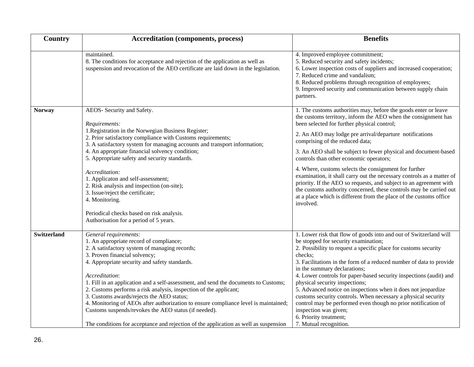| Country            | <b>Accreditation (components, process)</b>                                                                                                                                                                                                                                                                                                                                                                                                                                                                                                                                                                                                                            | <b>Benefits</b>                                                                                                                                                                                                                                                                                                                                                                                                                                                                                                                                                                                                                                                                                                                                               |  |  |
|--------------------|-----------------------------------------------------------------------------------------------------------------------------------------------------------------------------------------------------------------------------------------------------------------------------------------------------------------------------------------------------------------------------------------------------------------------------------------------------------------------------------------------------------------------------------------------------------------------------------------------------------------------------------------------------------------------|---------------------------------------------------------------------------------------------------------------------------------------------------------------------------------------------------------------------------------------------------------------------------------------------------------------------------------------------------------------------------------------------------------------------------------------------------------------------------------------------------------------------------------------------------------------------------------------------------------------------------------------------------------------------------------------------------------------------------------------------------------------|--|--|
|                    | maintained.<br>8. The conditions for acceptance and rejection of the application as well as<br>suspension and revocation of the AEO certificate are laid down in the legislation.                                                                                                                                                                                                                                                                                                                                                                                                                                                                                     | 4. Improved employee commitment;<br>5. Reduced security and safety incidents;<br>6. Lower inspection costs of suppliers and increased cooperation;<br>7. Reduced crime and vandalism;<br>8. Reduced problems through recognition of employees;<br>9. Improved security and communication between supply chain<br>partners.                                                                                                                                                                                                                                                                                                                                                                                                                                    |  |  |
| <b>Norway</b>      | AEOS- Security and Safety.<br>Requirements:<br>1. Registration in the Norwegian Business Register;<br>2. Prior satisfactory compliance with Customs requirements;<br>3. A satisfactory system for managing accounts and transport information;<br>4. An appropriate financial solvency condition;<br>5. Appropriate safety and security standards.<br>Accreditation:<br>1. Applicaton and self-assessment;<br>2. Risk analysis and inspection (on-site);<br>3. Issue/reject the certificate;<br>4. Monitoring.<br>Periodical checks based on risk analysis.<br>Authorisation for a period of 5 years.                                                                 | 1. The customs authorities may, before the goods enter or leave<br>the customs territory, inform the AEO when the consignment has<br>been selected for further physical control;<br>2. An AEO may lodge pre arrival/departure notifications<br>comprising of the reduced data;<br>3. An AEO shall be subject to fewer physical and document-based<br>controls than other economic operators;<br>4. Where, customs selects the consignment for further<br>examination, it shall carry out the necessary controls as a matter of<br>priority. If the AEO so requests, and subject to an agreement with<br>the customs authority concerned, these controls may be carried out<br>at a place which is different from the place of the customs office<br>involved. |  |  |
| <b>Switzerland</b> | General requirements:<br>1. An appropriate record of compliance;<br>2. A satisfactory system of managing records;<br>3. Proven financial solvency;<br>4. Appropriate security and safety standards.<br>Accreditation:<br>1. Fill in an application and a self-assessment, and send the documents to Customs;<br>2. Customs performs a risk analysis, inspection of the applicant;<br>3. Customs awards/rejects the AEO status;<br>4. Monitoring of AEOs after authorization to ensure compliance level is maintained;<br>Customs suspends/revokes the AEO status (if needed).<br>The conditions for acceptance and rejection of the application as well as suspension | 1. Lower risk that flow of goods into and out of Switzerland will<br>be stopped for security examination;<br>2. Possibility to request a specific place for customs security<br>checks:<br>3. Facilitations in the form of a reduced number of data to provide<br>in the summary declarations;<br>4. Lower controls for paper-based security inspections (audit) and<br>physical security inspections;<br>5. Advanced notice on inspections when it does not jeopardize<br>customs security controls. When necessary a physical security<br>control may be performed even though no prior notification of<br>inspection was given;<br>6. Priority treatment;<br>7. Mutual recognition.                                                                        |  |  |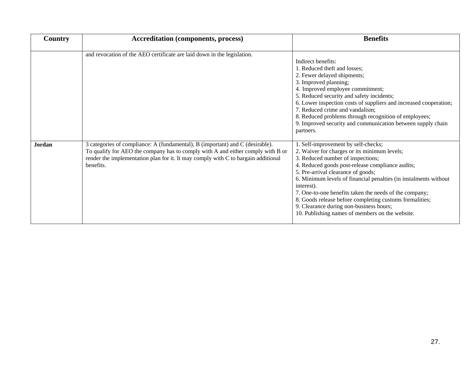| Country | <b>Accreditation (components, process)</b>                                                                                                                                                                                                                         | <b>Benefits</b>                                                                                                                                                                                                                                                                                                                                                                                                                                                                                                         |  |  |
|---------|--------------------------------------------------------------------------------------------------------------------------------------------------------------------------------------------------------------------------------------------------------------------|-------------------------------------------------------------------------------------------------------------------------------------------------------------------------------------------------------------------------------------------------------------------------------------------------------------------------------------------------------------------------------------------------------------------------------------------------------------------------------------------------------------------------|--|--|
|         | and revocation of the AEO certificate are laid down in the legislation.                                                                                                                                                                                            | Indirect benefits:<br>1. Reduced theft and losses;<br>2. Fewer delayed shipments;                                                                                                                                                                                                                                                                                                                                                                                                                                       |  |  |
|         |                                                                                                                                                                                                                                                                    | 3. Improved planning;<br>4. Improved employee commitment;<br>5. Reduced security and safety incidents;<br>6. Lower inspection costs of suppliers and increased cooperation;<br>7. Reduced crime and vandalism;<br>8. Reduced problems through recognition of employees;<br>9. Improved security and communication between supply chain<br>partners.                                                                                                                                                                     |  |  |
| Jordan  | 3 categories of compliance: A (fundamental), B (important) and C (desirable).<br>To qualify for AEO the company has to comply with A and either comply with B or<br>render the implementation plan for it. It may comply with C to bargain additional<br>benefits. | 1. Self-improvement by self-checks;<br>2. Waiver for charges or its minimum levels;<br>3. Reduced number of inspections;<br>4. Reduced goods post-release compliance audits;<br>5. Pre-arrival clearance of goods;<br>6. Minimum levels of financial penalties (in instalments without<br>interest).<br>7. One-to-one benefits taken the needs of the company;<br>8. Goods release before completing customs formalities;<br>9. Clearance during non-business hours;<br>10. Publishing names of members on the website. |  |  |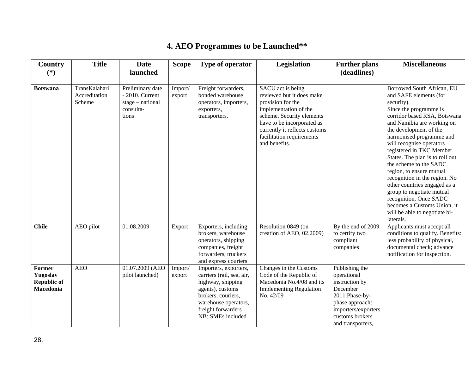<span id="page-27-0"></span>

| Country<br>$(*)$                                      | <b>Title</b>                             | <b>Date</b><br>launched                                                           | <b>Scope</b>      | Type of operator                                                                                                                                                                     | Legislation                                                                                                                                                                                                                            | <b>Further plans</b><br>(deadlines)                                                                                                                             | <b>Miscellaneous</b>                                                                                                                                                                                                                                                                                                                                                                                                                                                                                                                                                   |
|-------------------------------------------------------|------------------------------------------|-----------------------------------------------------------------------------------|-------------------|--------------------------------------------------------------------------------------------------------------------------------------------------------------------------------------|----------------------------------------------------------------------------------------------------------------------------------------------------------------------------------------------------------------------------------------|-----------------------------------------------------------------------------------------------------------------------------------------------------------------|------------------------------------------------------------------------------------------------------------------------------------------------------------------------------------------------------------------------------------------------------------------------------------------------------------------------------------------------------------------------------------------------------------------------------------------------------------------------------------------------------------------------------------------------------------------------|
| <b>Botswana</b>                                       | TransKalahari<br>Accreditation<br>Scheme | Preliminary date<br>$-2010$ . Current<br>$stage - national$<br>consulta-<br>tions | Import/<br>export | Freight forwarders,<br>bonded warehouse<br>operators, importers,<br>exporters,<br>transporters.                                                                                      | SACU act is being<br>reviewed but it does make<br>provision for the<br>implementation of the<br>scheme. Security elements<br>have to be incorporated as<br>currently it reflects customs<br>facilitation requirements<br>and benefits. |                                                                                                                                                                 | Borrowed South African, EU<br>and SAFE elements (for<br>security).<br>Since the programme is<br>corridor based RSA, Botswana<br>and Namibia are working on<br>the development of the<br>harmonised programme and<br>will recognise operators<br>registered in TKC Member<br>States. The plan is to roll out<br>the scheme to the SADC<br>region, to ensure mutual<br>recognition in the region. No<br>other countries engaged as a<br>group to negotiate mutual<br>recognition. Once SADC<br>becomes a Customs Union, it<br>will be able to negotiate bi-<br>laterals. |
| <b>Chile</b>                                          | AEO pilot                                | 01.08.2009                                                                        | Export            | Exporters, including<br>brokers, warehouse<br>operators, shipping<br>companies, freight<br>forwarders, truckers<br>and express couriers                                              | Resolution 0849 (on<br>creation of AEO, 02.2009)                                                                                                                                                                                       | By the end of 2009<br>to certify two<br>compliant<br>companies                                                                                                  | Applicants must accept all<br>conditions to qualify. Benefits:<br>less probability of physical,<br>documental check; advance<br>notification for inspection.                                                                                                                                                                                                                                                                                                                                                                                                           |
| Former<br>Yugoslav<br><b>Republic of</b><br>Macedonia | <b>AEO</b>                               | 01.07.2009 (AEO<br>pilot launched)                                                | Import/<br>export | Importers, exporters,<br>carriers (rail, sea, air,<br>highway, shipping<br>agents), customs<br>brokers, couriers,<br>warehouse operators,<br>freight forwarders<br>NB: SMEs included | Changes in the Customs<br>Code of the Republic of<br>Macedonia No.4/08 and its<br><b>Implementing Regulation</b><br>No. 42/09                                                                                                          | Publishing the<br>operational<br>instruction by<br>December<br>2011.Phase-by-<br>phase approach:<br>importers/exporters<br>customs brokers<br>and transporters, |                                                                                                                                                                                                                                                                                                                                                                                                                                                                                                                                                                        |

# **4. AEO Programmes to be Launched\*\***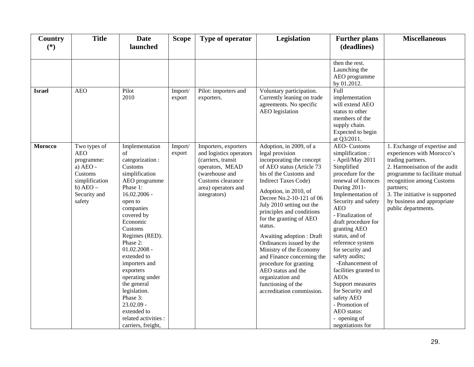| Country<br>$(*)$ | <b>Title</b>                                                                                                                | <b>Date</b><br>launched                                                                                                                                                                                                                                                                                                                                                                                                   | <b>Scope</b>      | Type of operator                                                                                                                                                       | <b>Legislation</b>                                                                                                                                                                                                                                                                                                                                                                                                                                                                                                                                          | <b>Further plans</b><br>(deadlines)                                                                                                                                                                                                                                                                                                                                                                                                                                                                                          | <b>Miscellaneous</b>                                                                                                                                                                                                                                                                 |
|------------------|-----------------------------------------------------------------------------------------------------------------------------|---------------------------------------------------------------------------------------------------------------------------------------------------------------------------------------------------------------------------------------------------------------------------------------------------------------------------------------------------------------------------------------------------------------------------|-------------------|------------------------------------------------------------------------------------------------------------------------------------------------------------------------|-------------------------------------------------------------------------------------------------------------------------------------------------------------------------------------------------------------------------------------------------------------------------------------------------------------------------------------------------------------------------------------------------------------------------------------------------------------------------------------------------------------------------------------------------------------|------------------------------------------------------------------------------------------------------------------------------------------------------------------------------------------------------------------------------------------------------------------------------------------------------------------------------------------------------------------------------------------------------------------------------------------------------------------------------------------------------------------------------|--------------------------------------------------------------------------------------------------------------------------------------------------------------------------------------------------------------------------------------------------------------------------------------|
|                  |                                                                                                                             |                                                                                                                                                                                                                                                                                                                                                                                                                           |                   |                                                                                                                                                                        |                                                                                                                                                                                                                                                                                                                                                                                                                                                                                                                                                             | then the rest.<br>Launching the<br>AEO programme<br>by 01.2012.                                                                                                                                                                                                                                                                                                                                                                                                                                                              |                                                                                                                                                                                                                                                                                      |
| <b>Israel</b>    | <b>AEO</b>                                                                                                                  | Pilot<br>2010                                                                                                                                                                                                                                                                                                                                                                                                             | Import/<br>export | Pilot: importers and<br>exporters.                                                                                                                                     | Voluntary participation.<br>Currently leaning on trade<br>agreements. No specific<br>AEO legislation                                                                                                                                                                                                                                                                                                                                                                                                                                                        | Full<br>implementation<br>will extend AEO<br>status to other<br>members of the<br>supply chain.<br>Expected to begin<br>at Q3/2011.                                                                                                                                                                                                                                                                                                                                                                                          |                                                                                                                                                                                                                                                                                      |
| Morocco          | Two types of<br><b>AEO</b><br>programme:<br>a) AEO -<br>Customs<br>simplification<br>$b)$ AEO $-$<br>Security and<br>safety | Implementation<br>of<br>categorization :<br>Customs<br>simplification<br>AEO programme<br>Phase 1:<br>$16.02.2006 -$<br>open to<br>companies<br>covered by<br>Economic<br>Customs<br>Regimes (RED).<br>Phase 2:<br>$01.02.2008 -$<br>extended to<br>importers and<br>exporters<br>operating under<br>the general<br>legislation.<br>Phase 3:<br>$23.02.09 -$<br>extended to<br>related activities :<br>carriers, freight, | Import/<br>export | Importers, exporters<br>and logistics operators<br>(carriers, transit<br>operators, MEAD<br>(warehouse and<br>Customs clearance<br>area) operators and<br>integrators) | Adoption, in 2009, of a<br>legal provision<br>incorporating the concept<br>of AEO status (Article 73<br>bis of the Customs and<br><b>Indirect Taxes Code)</b><br>Adoption, in 2010, of<br>Decree No.2-10-121 of 06<br>July 2010 setting out the<br>principles and conditions<br>for the granting of AEO<br>status.<br>Awaiting adoption : Draft<br>Ordinances issued by the<br>Ministry of the Economy<br>and Finance concerning the<br>procedure for granting<br>AEO status and the<br>organization and<br>functioning of the<br>accreditation commission. | <b>AEO-</b> Customs<br>simplification:<br>- April/May 2011<br>Simplified<br>procedure for the<br>renewal of licences<br>During 2011-<br>Implementation of<br>Security and safety<br><b>AEO</b><br>- Finalization of<br>draft procedure for<br>granting AEO<br>status, and of<br>reference system<br>for security and<br>safety audits;<br>-Enhancement of<br>facilities granted to<br><b>AEOs</b><br>Support measures<br>for Security and<br>safety AEO<br>- Promotion of<br>AEO status:<br>- opening of<br>negotiations for | 1. Exchange of expertise and<br>experiences with Morocco's<br>trading partners.<br>2. Harmonisation of the audit<br>programme to facilitate mutual<br>recognition among Customs<br>partners;<br>3. The initiative is supported<br>by business and appropriate<br>public departments. |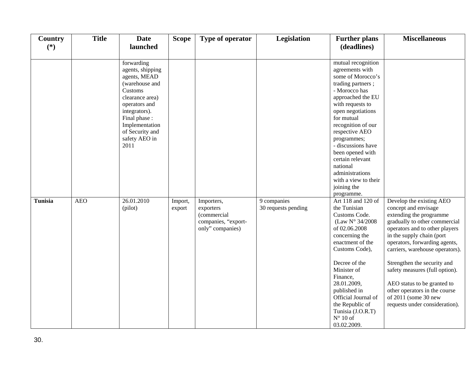| Country<br>$(*)$ | <b>Title</b> | <b>Date</b><br>launched                                                                                                                                                                                        | <b>Scope</b>      | Type of operator                                                                  | <b>Legislation</b>                 | <b>Further plans</b><br>(deadlines)                                                                                                                                                                                                                                                                                                                                                   | <b>Miscellaneous</b>                                                                                                                                                                                                                                                                                                                                                                                                                       |
|------------------|--------------|----------------------------------------------------------------------------------------------------------------------------------------------------------------------------------------------------------------|-------------------|-----------------------------------------------------------------------------------|------------------------------------|---------------------------------------------------------------------------------------------------------------------------------------------------------------------------------------------------------------------------------------------------------------------------------------------------------------------------------------------------------------------------------------|--------------------------------------------------------------------------------------------------------------------------------------------------------------------------------------------------------------------------------------------------------------------------------------------------------------------------------------------------------------------------------------------------------------------------------------------|
|                  |              |                                                                                                                                                                                                                |                   |                                                                                   |                                    |                                                                                                                                                                                                                                                                                                                                                                                       |                                                                                                                                                                                                                                                                                                                                                                                                                                            |
|                  |              | forwarding<br>agents, shipping<br>agents, MEAD<br>(warehouse and<br>Customs<br>clearance area)<br>operators and<br>integrators).<br>Final phase:<br>Implementation<br>of Security and<br>safety AEO in<br>2011 |                   |                                                                                   |                                    | mutual recognition<br>agreements with<br>some of Morocco's<br>trading partners;<br>- Morocco has<br>approached the EU<br>with requests to<br>open negotiations<br>for mutual<br>recognition of our<br>respective AEO<br>programmes;<br>- discussions have<br>been opened with<br>certain relevant<br>national<br>administrations<br>with a view to their<br>joining the<br>programme. |                                                                                                                                                                                                                                                                                                                                                                                                                                            |
| Tunisia          | <b>AEO</b>   | 26.01.2010<br>(pilot)                                                                                                                                                                                          | Import,<br>export | Importers,<br>exporters<br>(commercial<br>companies, "export-<br>only" companies) | 9 companies<br>30 requests pending | Art 118 and 120 of<br>the Tunisian<br>Customs Code.<br>(Law $N^{\circ}$ 34/2008)<br>of 02.06.2008<br>concerning the<br>enactment of the<br>Customs Code),<br>Decree of the<br>Minister of<br>Finance,<br>28.01.2009,<br>published in<br>Official Journal of<br>the Republic of<br>Tunisia (J.O.R.T)<br>$N^{\circ}$ 10 of<br>03.02.2009.                                               | Develop the existing AEO<br>concept and envisage<br>extending the programme<br>gradually to other commercial<br>operators and to other players<br>in the supply chain (port<br>operators, forwarding agents,<br>carriers, warehouse operators).<br>Strengthen the security and<br>safety measures (full option).<br>AEO status to be granted to<br>other operators in the course<br>of 2011 (some 30 new<br>requests under consideration). |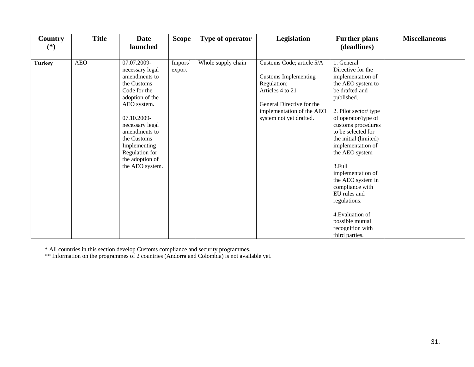| Country       | <b>Title</b> | <b>Date</b>     | <b>Scope</b> | Type of operator   | Legislation                 | <b>Further plans</b>  | <b>Miscellaneous</b> |
|---------------|--------------|-----------------|--------------|--------------------|-----------------------------|-----------------------|----------------------|
| $(*)$         |              | launched        |              |                    |                             | (deadlines)           |                      |
|               |              |                 |              |                    |                             |                       |                      |
| <b>Turkey</b> | <b>AEO</b>   | 07.07.2009-     | Import/      | Whole supply chain | Customs Code; article 5/A   | 1. General            |                      |
|               |              | necessary legal | export       |                    |                             | Directive for the     |                      |
|               |              | amendments to   |              |                    | <b>Customs Implementing</b> | implementation of     |                      |
|               |              | the Customs     |              |                    | Regulation;                 | the AEO system to     |                      |
|               |              | Code for the    |              |                    | Articles 4 to 21            | be drafted and        |                      |
|               |              | adoption of the |              |                    |                             | published.            |                      |
|               |              | AEO system.     |              |                    | General Directive for the   |                       |                      |
|               |              |                 |              |                    | implementation of the AEO   | 2. Pilot sector/type  |                      |
|               |              | 07.10.2009-     |              |                    | system not yet drafted.     | of operator/type of   |                      |
|               |              | necessary legal |              |                    |                             | customs procedures    |                      |
|               |              | amendments to   |              |                    |                             | to be selected for    |                      |
|               |              | the Customs     |              |                    |                             | the initial (limited) |                      |
|               |              | Implementing    |              |                    |                             | implementation of     |                      |
|               |              | Regulation for  |              |                    |                             | the AEO system        |                      |
|               |              | the adoption of |              |                    |                             |                       |                      |
|               |              | the AEO system. |              |                    |                             | 3.Full                |                      |
|               |              |                 |              |                    |                             | implementation of     |                      |
|               |              |                 |              |                    |                             | the AEO system in     |                      |
|               |              |                 |              |                    |                             | compliance with       |                      |
|               |              |                 |              |                    |                             | EU rules and          |                      |
|               |              |                 |              |                    |                             | regulations.          |                      |
|               |              |                 |              |                    |                             |                       |                      |
|               |              |                 |              |                    |                             | 4. Evaluation of      |                      |
|               |              |                 |              |                    |                             | possible mutual       |                      |
|               |              |                 |              |                    |                             | recognition with      |                      |
|               |              |                 |              |                    |                             | third parties.        |                      |

\* All countries in this section develop Customs compliance and security programmes.

\*\* Information on the programmes of 2 countries (Andorra and Colombia) is not available yet.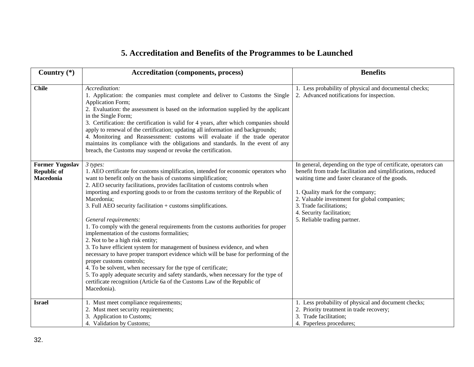# **5. Accreditation and Benefits of the Programmes to be Launched**

<span id="page-31-0"></span>

| Country $(*)$                                                    | <b>Accreditation (components, process)</b>                                                                                                                                                                                                                                                                                                                                                                                                                                                                                                                                                                                                                                                                                                                                                                                                                                                                                                                                                                                                                              | <b>Benefits</b>                                                                                                                                                                                                                                                                                                                                                |
|------------------------------------------------------------------|-------------------------------------------------------------------------------------------------------------------------------------------------------------------------------------------------------------------------------------------------------------------------------------------------------------------------------------------------------------------------------------------------------------------------------------------------------------------------------------------------------------------------------------------------------------------------------------------------------------------------------------------------------------------------------------------------------------------------------------------------------------------------------------------------------------------------------------------------------------------------------------------------------------------------------------------------------------------------------------------------------------------------------------------------------------------------|----------------------------------------------------------------------------------------------------------------------------------------------------------------------------------------------------------------------------------------------------------------------------------------------------------------------------------------------------------------|
| <b>Chile</b>                                                     | Accreditation:<br>1. Application: the companies must complete and deliver to Customs the Single<br>Application Form;<br>2. Evaluation: the assessment is based on the information supplied by the applicant<br>in the Single Form;<br>3. Certification: the certification is valid for 4 years, after which companies should<br>apply to renewal of the certification; updating all information and backgrounds;<br>4. Monitoring and Reassessment: customs will evaluate if the trade operator<br>maintains its compliance with the obligations and standards. In the event of any<br>breach, the Customs may suspend or revoke the certification.                                                                                                                                                                                                                                                                                                                                                                                                                     | 1. Less probability of physical and documental checks;<br>2. Advanced notifications for inspection.                                                                                                                                                                                                                                                            |
| <b>Former Yugoslav</b><br><b>Republic of</b><br><b>Macedonia</b> | 3 types:<br>1. AEO certificate for customs simplification, intended for economic operators who<br>want to benefit only on the basis of customs simplification;<br>2. AEO security facilitations, provides facilitation of customs controls when<br>importing and exporting goods to or from the customs territory of the Republic of<br>Macedonia;<br>3. Full AEO security facilitation + customs simplifications.<br>General requirements:<br>1. To comply with the general requirements from the customs authorities for proper<br>implementation of the customs formalities;<br>2. Not to be a high risk entity;<br>3. To have efficient system for management of business evidence, and when<br>necessary to have proper transport evidence which will be base for performing of the<br>proper customs controls;<br>4. To be solvent, when necessary for the type of certificate;<br>5. To apply adequate security and safety standards, when necessary for the type of<br>certificate recognition (Article 6a of the Customs Law of the Republic of<br>Macedonia). | In general, depending on the type of certificate, operators can<br>benefit from trade facilitation and simplifications, reduced<br>waiting time and faster clearance of the goods.<br>1. Quality mark for the company;<br>2. Valuable investment for global companies;<br>3. Trade facilitations;<br>4. Security facilitation;<br>5. Reliable trading partner. |
| <b>Israel</b>                                                    | 1. Must meet compliance requirements;<br>2. Must meet security requirements;<br>3. Application to Customs;<br>4. Validation by Customs;                                                                                                                                                                                                                                                                                                                                                                                                                                                                                                                                                                                                                                                                                                                                                                                                                                                                                                                                 | 1. Less probability of physical and document checks;<br>2. Priority treatment in trade recovery;<br>3. Trade facilitation;<br>4. Paperless procedures;                                                                                                                                                                                                         |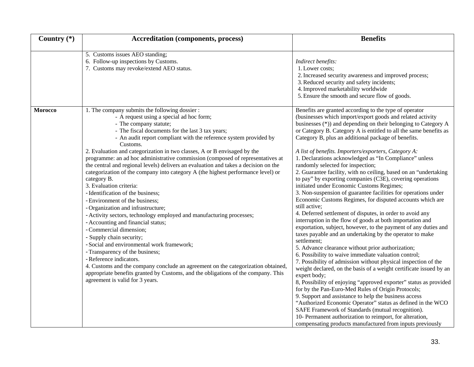| Country $(*)$ | <b>Accreditation (components, process)</b>                                                                                                                                                                                                                                                                                                                                                                                                                                                                                                                                                                                                                                                                                                                                                                                                                                                                                                                                                                                                                                                                                                                                                                                                             | <b>Benefits</b>                                                                                                                                                                                                                                                                                                                                                                                                                                                                                                                                                                                                                                                                                                                                                                                                                                                                                                                                                                                                                                                                                                                                                                                                                                                                                                                                                                                                                                                                                                                                                                                                                                                                                                                                                                       |
|---------------|--------------------------------------------------------------------------------------------------------------------------------------------------------------------------------------------------------------------------------------------------------------------------------------------------------------------------------------------------------------------------------------------------------------------------------------------------------------------------------------------------------------------------------------------------------------------------------------------------------------------------------------------------------------------------------------------------------------------------------------------------------------------------------------------------------------------------------------------------------------------------------------------------------------------------------------------------------------------------------------------------------------------------------------------------------------------------------------------------------------------------------------------------------------------------------------------------------------------------------------------------------|---------------------------------------------------------------------------------------------------------------------------------------------------------------------------------------------------------------------------------------------------------------------------------------------------------------------------------------------------------------------------------------------------------------------------------------------------------------------------------------------------------------------------------------------------------------------------------------------------------------------------------------------------------------------------------------------------------------------------------------------------------------------------------------------------------------------------------------------------------------------------------------------------------------------------------------------------------------------------------------------------------------------------------------------------------------------------------------------------------------------------------------------------------------------------------------------------------------------------------------------------------------------------------------------------------------------------------------------------------------------------------------------------------------------------------------------------------------------------------------------------------------------------------------------------------------------------------------------------------------------------------------------------------------------------------------------------------------------------------------------------------------------------------------|
|               | 5. Customs issues AEO standing;<br>6. Follow-up inspections by Customs.<br>7. Customs may revoke/extend AEO status.                                                                                                                                                                                                                                                                                                                                                                                                                                                                                                                                                                                                                                                                                                                                                                                                                                                                                                                                                                                                                                                                                                                                    | Indirect benefits:<br>1. Lower costs;<br>2. Increased security awareness and improved process;<br>3. Reduced security and safety incidents;<br>4. Improved marketability worldwide<br>5. Ensure the smooth and secure flow of goods.                                                                                                                                                                                                                                                                                                                                                                                                                                                                                                                                                                                                                                                                                                                                                                                                                                                                                                                                                                                                                                                                                                                                                                                                                                                                                                                                                                                                                                                                                                                                                  |
| Morocco       | 1. The company submits the following dossier :<br>- A request using a special ad hoc form;<br>- The company statute;<br>- The fiscal documents for the last 3 tax years;<br>- An audit report compliant with the reference system provided by<br>Customs.<br>2. Evaluation and categorization in two classes, A or B envisaged by the<br>programme: an ad hoc administrative commission (composed of representatives at<br>the central and regional levels) delivers an evaluation and takes a decision on the<br>categorization of the company into category A (the highest performance level) or<br>category B.<br>3. Evaluation criteria:<br>- Identification of the business;<br>- Environment of the business;<br>- Organization and infrastructure;<br>- Activity sectors, technology employed and manufacturing processes;<br>- Accounting and financial status;<br>- Commercial dimension;<br>- Supply chain security;<br>- Social and environmental work framework;<br>- Transparency of the business;<br>- Reference indicators.<br>4. Customs and the company conclude an agreement on the categorization obtained,<br>appropriate benefits granted by Customs, and the obligations of the company. This<br>agreement is valid for 3 years. | Benefits are granted according to the type of operator<br>(businesses which import/export goods and related activity<br>businesses (*)) and depending on their belonging to Category A<br>or Category B. Category A is entitled to all the same benefits as<br>Category B, plus an additional package of benefits.<br>A list of benefits. Importers/exporters, Category A:<br>1. Declarations acknowledged as "In Compliance" unless<br>randomly selected for inspection;<br>2. Guarantee facility, with no ceiling, based on an "undertaking<br>to pay" by exporting companies (C3E), covering operations<br>initiated under Economic Customs Regimes;<br>3. Non-suspension of guarantee facilities for operations under<br>Economic Customs Regimes, for disputed accounts which are<br>still active;<br>4. Deferred settlement of disputes, in order to avoid any<br>interruption in the flow of goods at both importation and<br>exportation, subject, however, to the payment of any duties and<br>taxes payable and an undertaking by the operator to make<br>settlement;<br>5. Advance clearance without prior authorization;<br>6. Possibility to waive immediate valuation control;<br>7. Possibility of admission without physical inspection of the<br>weight declared, on the basis of a weight certificate issued by an<br>expert body;<br>8, Possibility of enjoying "approved exporter" status as provided<br>for by the Pan-Euro-Med Rules of Origin Protocols;<br>9. Support and assistance to help the business access<br>"Authorized Economic Operator" status as defined in the WCO<br>SAFE Framework of Standards (mutual recognition).<br>10- Permanent authorization to reimport, for alteration,<br>compensating products manufactured from inputs previously |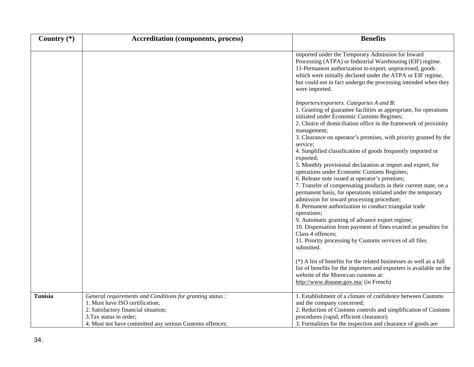| Country $(*)$  | <b>Accreditation (components, process)</b>                                                                                                                                                                                  | <b>Benefits</b>                                                                                                                                                                                                                                                                                                                                                                                                                                                                                                                                                                                                                                                                                                                                                                                                                                                                                                                                                                                                                                               |
|----------------|-----------------------------------------------------------------------------------------------------------------------------------------------------------------------------------------------------------------------------|---------------------------------------------------------------------------------------------------------------------------------------------------------------------------------------------------------------------------------------------------------------------------------------------------------------------------------------------------------------------------------------------------------------------------------------------------------------------------------------------------------------------------------------------------------------------------------------------------------------------------------------------------------------------------------------------------------------------------------------------------------------------------------------------------------------------------------------------------------------------------------------------------------------------------------------------------------------------------------------------------------------------------------------------------------------|
|                |                                                                                                                                                                                                                             | imported under the Temporary Admission for Inward<br>Processing (ATPA) or Industrial Warehousing (EIF) regime.<br>11-Permanent authorization to export, unprocessed, goods<br>which were initially declared under the ATPA or EIF regime,<br>but could not in fact undergo the processing intended when they<br>were imported.                                                                                                                                                                                                                                                                                                                                                                                                                                                                                                                                                                                                                                                                                                                                |
|                |                                                                                                                                                                                                                             | Importers/exporters. Categories A and B:<br>1. Granting of guarantee facilities as appropriate, for operations<br>initiated under Economic Customs Regimes;<br>2. Choice of domiciliation office in the framework of proximity<br>management;<br>3. Clearance on operator's premises, with priority granted by the<br>service;<br>4. Simplified classification of goods frequently imported or<br>exported;<br>5. Monthly provisional declaration at import and export, for<br>operations under Economic Customs Regimes;<br>6. Release note issued at operator's premises;<br>7. Transfer of compensating products in their current state, on a<br>permanent basis, for operations initiated under the temporary<br>admission for inward processing procedure;<br>8. Permanent authorization to conduct triangular trade<br>operations;<br>9. Automatic granting of advance export regime;<br>10. Dispensation from payment of fines exacted as penalties for<br>Class 4 offences;<br>11. Priority processing by Customs services of all files<br>submitted. |
|                |                                                                                                                                                                                                                             | (*) A list of benefits for the related businesses as well as a full<br>list of benefits for the importers and exporters is available on the<br>website of the Moroccan customs at:<br>http://www.douane.gov.ma/ (in French)                                                                                                                                                                                                                                                                                                                                                                                                                                                                                                                                                                                                                                                                                                                                                                                                                                   |
| <b>Tunisia</b> | General requirements and Conditions for granting status :<br>1. Must have ISO certification;<br>2. Satisfactory financial situation;<br>3. Tax status in order;<br>4. Must not have committed any serious Customs offences; | 1. Establishment of a climate of confidence between Customs<br>and the company concerned;<br>2. Reduction of Customs controls and simplification of Customs<br>procedures (rapid, efficient clearance);<br>3. Formalities for the inspection and clearance of goods are                                                                                                                                                                                                                                                                                                                                                                                                                                                                                                                                                                                                                                                                                                                                                                                       |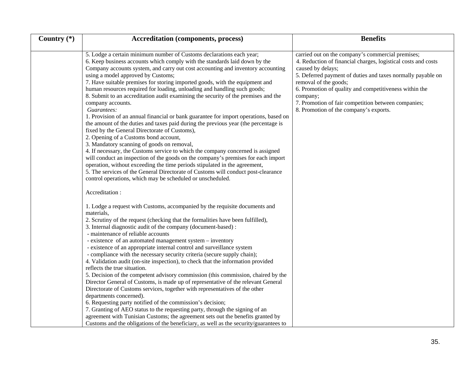| Country (*) | <b>Accreditation (components, process)</b>                                                                                                                                                                                                                                                                                                                                                                                                                                                                                                                                                                                                                                                                                                                                                                                                                                                                                                                                                                                                                                                                                                                                                                                                                                                         | <b>Benefits</b>                                                                                                                                                                                                                                                                                                                                                                                        |
|-------------|----------------------------------------------------------------------------------------------------------------------------------------------------------------------------------------------------------------------------------------------------------------------------------------------------------------------------------------------------------------------------------------------------------------------------------------------------------------------------------------------------------------------------------------------------------------------------------------------------------------------------------------------------------------------------------------------------------------------------------------------------------------------------------------------------------------------------------------------------------------------------------------------------------------------------------------------------------------------------------------------------------------------------------------------------------------------------------------------------------------------------------------------------------------------------------------------------------------------------------------------------------------------------------------------------|--------------------------------------------------------------------------------------------------------------------------------------------------------------------------------------------------------------------------------------------------------------------------------------------------------------------------------------------------------------------------------------------------------|
|             | 5. Lodge a certain minimum number of Customs declarations each year;<br>6. Keep business accounts which comply with the standards laid down by the<br>Company accounts system, and carry out cost accounting and inventory accounting<br>using a model approved by Customs;<br>7. Have suitable premises for storing imported goods, with the equipment and<br>human resources required for loading, unloading and handling such goods;<br>8. Submit to an accreditation audit examining the security of the premises and the<br>company accounts.<br>Guarantees:<br>1. Provision of an annual financial or bank guarantee for import operations, based on<br>the amount of the duties and taxes paid during the previous year (the percentage is<br>fixed by the General Directorate of Customs),<br>2. Opening of a Customs bond account,<br>3. Mandatory scanning of goods on removal,<br>4. If necessary, the Customs service to which the company concerned is assigned<br>will conduct an inspection of the goods on the company's premises for each import<br>operation, without exceeding the time periods stipulated in the agreement,<br>5. The services of the General Directorate of Customs will conduct post-clearance<br>control operations, which may be scheduled or unscheduled. | carried out on the company's commercial premises;<br>4. Reduction of financial charges, logistical costs and costs<br>caused by delays;<br>5. Deferred payment of duties and taxes normally payable on<br>removal of the goods;<br>6. Promotion of quality and competitiveness within the<br>company;<br>7. Promotion of fair competition between companies;<br>8. Promotion of the company's exports. |
|             | Accreditation:<br>1. Lodge a request with Customs, accompanied by the requisite documents and<br>materials,<br>2. Scrutiny of the request (checking that the formalities have been fulfilled),<br>3. Internal diagnostic audit of the company (document-based):<br>- maintenance of reliable accounts<br>- existence of an automated management system - inventory<br>- existence of an appropriate internal control and surveillance system<br>- compliance with the necessary security criteria (secure supply chain);<br>4. Validation audit (on-site inspection), to check that the information provided<br>reflects the true situation.<br>5. Decision of the competent advisory commission (this commission, chaired by the<br>Director General of Customs, is made up of representative of the relevant General<br>Directorate of Customs services, together with representatives of the other<br>departments concerned).<br>6. Requesting party notified of the commission's decision;<br>7. Granting of AEO status to the requesting party, through the signing of an<br>agreement with Tunisian Customs; the agreement sets out the benefits granted by<br>Customs and the obligations of the beneficiary, as well as the security/guarantees to                                         |                                                                                                                                                                                                                                                                                                                                                                                                        |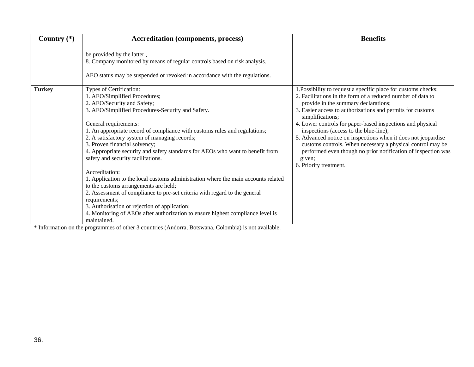| Country $(*)$ | <b>Accreditation (components, process)</b>                                                                                                                                                                                                                                                                                                                                                                                                                                                                                                                                                                                                                                                                                                                                                                                                                       | <b>Benefits</b>                                                                                                                                                                                                                                                                                                                                                                                                                                                                                                                                                                                     |
|---------------|------------------------------------------------------------------------------------------------------------------------------------------------------------------------------------------------------------------------------------------------------------------------------------------------------------------------------------------------------------------------------------------------------------------------------------------------------------------------------------------------------------------------------------------------------------------------------------------------------------------------------------------------------------------------------------------------------------------------------------------------------------------------------------------------------------------------------------------------------------------|-----------------------------------------------------------------------------------------------------------------------------------------------------------------------------------------------------------------------------------------------------------------------------------------------------------------------------------------------------------------------------------------------------------------------------------------------------------------------------------------------------------------------------------------------------------------------------------------------------|
|               | be provided by the latter,<br>8. Company monitored by means of regular controls based on risk analysis.<br>AEO status may be suspended or revoked in accordance with the regulations.                                                                                                                                                                                                                                                                                                                                                                                                                                                                                                                                                                                                                                                                            |                                                                                                                                                                                                                                                                                                                                                                                                                                                                                                                                                                                                     |
| <b>Turkey</b> | Types of Certification:<br>1. AEO/Simplified Procedures;<br>2. AEO/Security and Safety;<br>3. AEO/Simplified Procedures-Security and Safety.<br>General requirements:<br>1. An appropriate record of compliance with customs rules and regulations;<br>2. A satisfactory system of managing records;<br>3. Proven financial solvency;<br>4. Appropriate security and safety standards for AEOs who want to benefit from<br>safety and security facilitations.<br>Accreditation:<br>1. Application to the local customs administration where the main accounts related<br>to the customs arrangements are held;<br>2. Assessment of compliance to pre-set criteria with regard to the general<br>requirements:<br>3. Authorisation or rejection of application;<br>4. Monitoring of AEOs after authorization to ensure highest compliance level is<br>maintained. | 1. Possibility to request a specific place for customs checks;<br>2. Facilitations in the form of a reduced number of data to<br>provide in the summary declarations;<br>3. Easier access to authorizations and permits for customs<br>simplifications;<br>4. Lower controls for paper-based inspections and physical<br>inspections (access to the blue-line);<br>5. Advanced notice on inspections when it does not jeopardise<br>customs controls. When necessary a physical control may be<br>performed even though no prior notification of inspection was<br>given;<br>6. Priority treatment. |

\* Information on the programmes of other 3 countries (Andorra, Botswana, Colombia) is not available.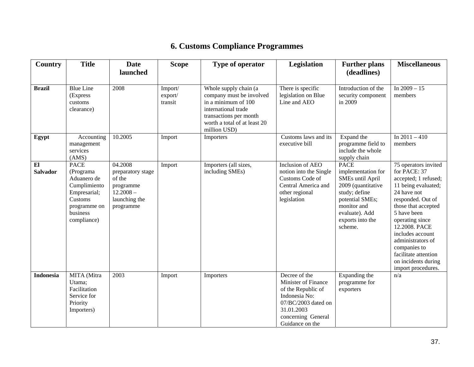# **6. Customs Compliance Programmes**

<span id="page-36-0"></span>

| <b>Country</b>        | <b>Title</b>                                                                                                                  | <b>Date</b><br>launched                                                                          | <b>Scope</b>                  | Type of operator                                                                                                                                                          | <b>Legislation</b>                                                                                                                                        | <b>Further plans</b><br>(deadlines)                                                                                                                                             | <b>Miscellaneous</b>                                                                                                                                                                                                                                                                                                            |
|-----------------------|-------------------------------------------------------------------------------------------------------------------------------|--------------------------------------------------------------------------------------------------|-------------------------------|---------------------------------------------------------------------------------------------------------------------------------------------------------------------------|-----------------------------------------------------------------------------------------------------------------------------------------------------------|---------------------------------------------------------------------------------------------------------------------------------------------------------------------------------|---------------------------------------------------------------------------------------------------------------------------------------------------------------------------------------------------------------------------------------------------------------------------------------------------------------------------------|
| <b>Brazil</b>         | <b>Blue Line</b><br>(Express<br>customs<br>clearance)                                                                         | 2008                                                                                             | Import/<br>export/<br>transit | Whole supply chain (a<br>company must be involved<br>in a minimum of 100<br>international trade<br>transactions per month<br>worth a total of at least 20<br>million USD) | There is specific<br>legislation on Blue<br>Line and AEO                                                                                                  | Introduction of the<br>security component<br>in 2009                                                                                                                            | In $2009 - 15$<br>members                                                                                                                                                                                                                                                                                                       |
| Egypt                 | Accounting<br>management<br>services<br>(AMS)                                                                                 | 10.2005                                                                                          | Import                        | Importers                                                                                                                                                                 | Customs laws and its<br>executive bill                                                                                                                    | Expand the<br>programme field to<br>include the whole<br>supply chain                                                                                                           | In $2011 - 410$<br>members                                                                                                                                                                                                                                                                                                      |
| E1<br><b>Salvador</b> | <b>PACE</b><br>(Programa<br>Aduanero de<br>Cumplimiento<br>Empresarial;<br>Customs<br>programme on<br>business<br>compliance) | 04.2008<br>preparatory stage<br>of the<br>programme<br>$12.2008 -$<br>launching the<br>programme | Import                        | Importers (all sizes,<br>including SMEs)                                                                                                                                  | Inclusion of AEO<br>notion into the Single<br>Customs Code of<br>Central America and<br>other regional<br>legislation                                     | <b>PACE</b><br>implementation for<br>SMEs until April<br>2009 (quantitative<br>study; define<br>potential SMEs;<br>monitor and<br>evaluate). Add<br>exports into the<br>scheme. | 75 operators invited<br>for PACE: 37<br>accepted; 1 refused;<br>11 being evaluated;<br>24 have not<br>responded. Out of<br>those that accepted<br>5 have been<br>operating since<br>12.2008. PACE<br>includes account<br>administrators of<br>companies to<br>facilitate attention<br>on incidents during<br>import procedures. |
| <b>Indonesia</b>      | MITA (Mitra<br>Utama;<br>Facilitation<br>Service for<br>Priority<br>Importers)                                                | 2003                                                                                             | Import                        | Importers                                                                                                                                                                 | Decree of the<br>Minister of Finance<br>of the Republic of<br>Indonesia No:<br>07/BC/2003 dated on<br>31.01.2003<br>concerning General<br>Guidance on the | Expanding the<br>programme for<br>exporters                                                                                                                                     | n/a                                                                                                                                                                                                                                                                                                                             |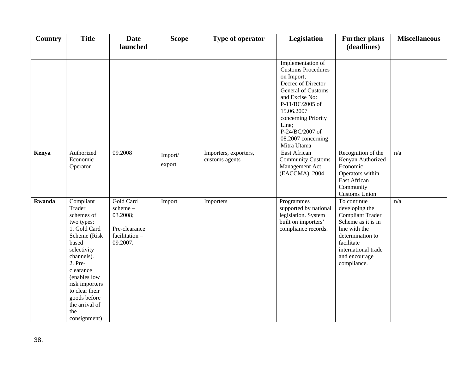| Country       | <b>Title</b>                                                                                                                                                                                                                                               | <b>Date</b><br>launched                                                        | <b>Scope</b>      | Type of operator                        | Legislation                                                                                                                                                                                                                                         | <b>Further plans</b><br>(deadlines)                                                                                                                                                      | <b>Miscellaneous</b> |
|---------------|------------------------------------------------------------------------------------------------------------------------------------------------------------------------------------------------------------------------------------------------------------|--------------------------------------------------------------------------------|-------------------|-----------------------------------------|-----------------------------------------------------------------------------------------------------------------------------------------------------------------------------------------------------------------------------------------------------|------------------------------------------------------------------------------------------------------------------------------------------------------------------------------------------|----------------------|
|               |                                                                                                                                                                                                                                                            |                                                                                |                   |                                         | Implementation of<br><b>Customs Procedures</b><br>on Import;<br>Decree of Director<br>General of Customs<br>and Excise No:<br>P-11/BC/2005 of<br>15.06.2007<br>concerning Priority<br>Line;<br>P-24/BC/2007 of<br>08.2007 concerning<br>Mitra Utama |                                                                                                                                                                                          |                      |
| Kenya         | Authorized<br>Economic<br>Operator                                                                                                                                                                                                                         | 09.2008                                                                        | Import/<br>export | Importers, exporters,<br>customs agents | East African<br><b>Community Customs</b><br>Management Act<br>(EACCMA), 2004                                                                                                                                                                        | Recognition of the<br>Kenyan Authorized<br>Economic<br>Operators within<br>East African<br>Community<br><b>Customs Union</b>                                                             | n/a                  |
| <b>Rwanda</b> | Compliant<br>Trader<br>schemes of<br>two types:<br>1. Gold Card<br>Scheme (Risk<br>based<br>selectivity<br>channels).<br>2. Pre-<br>clearance<br>(enables low<br>risk importers<br>to clear their<br>goods before<br>the arrival of<br>the<br>consignment) | Gold Card<br>scheme-<br>03.2008;<br>Pre-clearance<br>facilitation-<br>09.2007. | Import            | Importers                               | Programmes<br>supported by national<br>legislation. System<br>built on importers'<br>compliance records.                                                                                                                                            | To continue<br>developing the<br><b>Compliant Trader</b><br>Scheme as it is in<br>line with the<br>determination to<br>facilitate<br>international trade<br>and encourage<br>compliance. | n/a                  |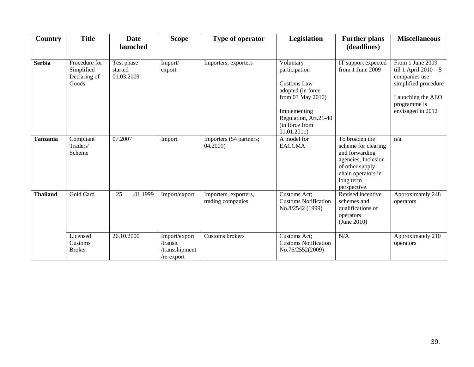| Country         | <b>Title</b>                                         | <b>Date</b><br>launched             | <b>Scope</b>                                                | Type of operator                           | Legislation                                                                                                                                                  | <b>Further plans</b><br>(deadlines)                                                                                                                  | <b>Miscellaneous</b>                                                                                                                           |
|-----------------|------------------------------------------------------|-------------------------------------|-------------------------------------------------------------|--------------------------------------------|--------------------------------------------------------------------------------------------------------------------------------------------------------------|------------------------------------------------------------------------------------------------------------------------------------------------------|------------------------------------------------------------------------------------------------------------------------------------------------|
| <b>Serbia</b>   | Procedure for<br>Simplified<br>Declaring of<br>Goods | Test phase<br>started<br>01.03.2009 | Import/<br>export                                           | Importers, exporters                       | Voluntary<br>participation<br>Customs Law<br>adopted (in force<br>from 03 May 2010)<br>Implementing<br>Regulation, Art.21-40<br>(in force from<br>01.01.2011 | IT support expected<br>from 1 June 2009                                                                                                              | From 1 June 2009<br>till 1 April $2010 - 5$<br>companies use<br>simplified procedure<br>Launching the AEO<br>programme is<br>envisaged in 2012 |
| <b>Tanzania</b> | Compliant<br>Traders'<br>Scheme                      | 07.2007                             | Import                                                      | Importers (54 partners;<br>04.2009)        | A model for<br><b>EACCMA</b>                                                                                                                                 | To broaden the<br>scheme for clearing<br>and forwarding<br>agencies, Inclusion<br>of other supply<br>chain operators in<br>long term<br>perspective. | n/a                                                                                                                                            |
| <b>Thailand</b> | Gold Card                                            | 25<br>.01.1999                      | Import/export                                               | Importers, exporters,<br>trading companies | Customs Act;<br><b>Customs Notification</b><br>No.8/2542 (1999)                                                                                              | Revised incentive<br>schemes and<br>qualifications of<br>operators<br>(June 2010)                                                                    | Approximately 248<br>operators                                                                                                                 |
|                 | Licensed<br>Customs<br><b>Broker</b>                 | 26.10.2000                          | Import/export<br>/transit<br>/transshipment<br>$re$ -export | Customs brokers                            | Customs Act;<br><b>Customs Notification</b><br>No.76/2552(2009)                                                                                              | N/A                                                                                                                                                  | Approximately 210<br>operators                                                                                                                 |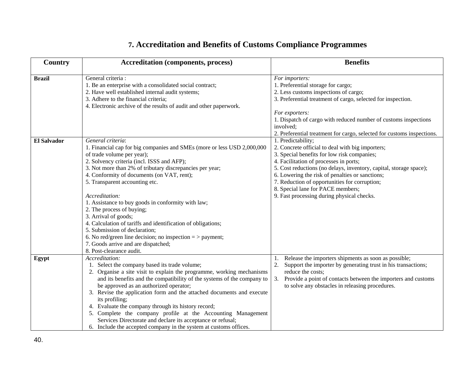# **7. Accreditation and Benefits of Customs Compliance Programmes**

<span id="page-39-0"></span>

| Country       | <b>Accreditation (components, process)</b>                                                                                                                                                                                                                                                                                                                                                                                                                                                                                                                                                                                                                                           | <b>Benefits</b>                                                                                                                                                                                                                                                                                                                                                                                                              |
|---------------|--------------------------------------------------------------------------------------------------------------------------------------------------------------------------------------------------------------------------------------------------------------------------------------------------------------------------------------------------------------------------------------------------------------------------------------------------------------------------------------------------------------------------------------------------------------------------------------------------------------------------------------------------------------------------------------|------------------------------------------------------------------------------------------------------------------------------------------------------------------------------------------------------------------------------------------------------------------------------------------------------------------------------------------------------------------------------------------------------------------------------|
| <b>Brazil</b> | General criteria :<br>1. Be an enterprise with a consolidated social contract;<br>2. Have well established internal audit systems;<br>3. Adhere to the financial criteria;<br>4. Electronic archive of the results of audit and other paperwork.                                                                                                                                                                                                                                                                                                                                                                                                                                     | For importers:<br>1. Preferential storage for cargo;<br>2. Less customs inspections of cargo;<br>3. Preferential treatment of cargo, selected for inspection.<br>For exporters:<br>1. Dispatch of cargo with reduced number of customs inspections<br>involved;<br>2. Preferential treatment for cargo, selected for customs inspections.                                                                                    |
| El Salvador   | General criteria:<br>1. Financial cap for big companies and SMEs (more or less USD 2,000,000<br>of trade volume per year);<br>2. Solvency criteria (incl. ISSS and AFP);<br>3. Not more than 2% of tributary discrepancies per year;<br>4. Conformity of documents (on VAT, rent);<br>5. Transparent accounting etc.<br>Accreditation:<br>1. Assistance to buy goods in conformity with law;<br>2. The process of buying;<br>3. Arrival of goods;<br>4. Calculation of tariffs and identification of obligations;<br>5. Submission of declaration;<br>6. No red/green line decision; no inspection $=$ > payment;<br>7. Goods arrive and are dispatched;<br>8. Post-clearance audit. | 1. Predictability;<br>2. Concrete official to deal with big importers;<br>3. Special benefits for low risk companies;<br>4. Facilitation of processes in ports;<br>5. Cost reductions (no delays, inventory, capital, storage space);<br>6. Lowering the risk of penalties or sanctions;<br>7. Reduction of opportunities for corruption;<br>8. Special lane for PACE members;<br>9. Fast processing during physical checks. |
| Egypt         | Accreditation:<br>1. Select the company based its trade volume;<br>2. Organise a site visit to explain the programme, working mechanisms<br>and its benefits and the compatibility of the systems of the company to<br>be approved as an authorized operator;<br>3. Revise the application form and the attached documents and execute<br>its profiling;<br>4. Evaluate the company through its history record;<br>5. Complete the company profile at the Accounting Management<br>Services Directorate and declare its acceptance or refusal;<br>6. Include the accepted company in the system at customs offices.                                                                  | Release the importers shipments as soon as possible;<br>1.<br>Support the importer by generating trust in his transactions;<br>2.<br>reduce the costs;<br>3.<br>Provide a point of contacts between the importers and customs<br>to solve any obstacles in releasing procedures.                                                                                                                                             |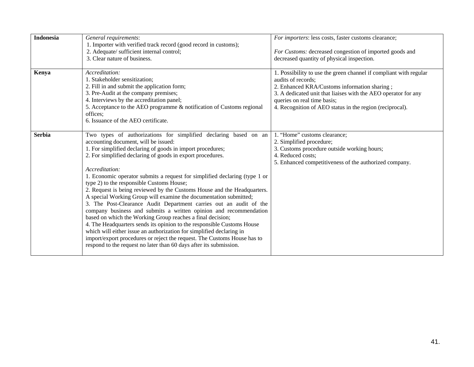| <b>Indonesia</b> | General requirements:<br>1. Importer with verified track record (good record in customs);<br>2. Adequate/ sufficient internal control;<br>3. Clear nature of business.                                                                                                                                                                                                                                                                                                                                                                                                                                                                                                                                                                                                                                                                                                                                                                                                                                                                         | For importers: less costs, faster customs clearance;<br>For Customs: decreased congestion of imported goods and<br>decreased quantity of physical inspection.                                                                                                                                        |
|------------------|------------------------------------------------------------------------------------------------------------------------------------------------------------------------------------------------------------------------------------------------------------------------------------------------------------------------------------------------------------------------------------------------------------------------------------------------------------------------------------------------------------------------------------------------------------------------------------------------------------------------------------------------------------------------------------------------------------------------------------------------------------------------------------------------------------------------------------------------------------------------------------------------------------------------------------------------------------------------------------------------------------------------------------------------|------------------------------------------------------------------------------------------------------------------------------------------------------------------------------------------------------------------------------------------------------------------------------------------------------|
| Kenya            | Accreditation:<br>1. Stakeholder sensitization;<br>2. Fill in and submit the application form;<br>3. Pre-Audit at the company premises;<br>4. Interviews by the accreditation panel;<br>5. Acceptance to the AEO programme & notification of Customs regional<br>offices;<br>6. Issuance of the AEO certificate.                                                                                                                                                                                                                                                                                                                                                                                                                                                                                                                                                                                                                                                                                                                               | 1. Possibility to use the green channel if compliant with regular<br>audits of records:<br>2. Enhanced KRA/Customs information sharing;<br>3. A dedicated unit that liaises with the AEO operator for any<br>queries on real time basis;<br>4. Recognition of AEO status in the region (reciprocal). |
| <b>Serbia</b>    | Two types of authorizations for simplified declaring based on an<br>accounting document, will be issued:<br>1. For simplified declaring of goods in import procedures;<br>2. For simplified declaring of goods in export procedures.<br>Accreditation:<br>1. Economic operator submits a request for simplified declaring (type 1 or<br>type 2) to the responsible Customs House;<br>2. Request is being reviewed by the Customs House and the Headquarters.<br>A special Working Group will examine the documentation submitted;<br>3. The Post-Clearance Audit Department carries out an audit of the<br>company business and submits a written opinion and recommendation<br>based on which the Working Group reaches a final decision;<br>4. The Headquarters sends its opinion to the responsible Customs House<br>which will either issue an authorization for simplified declaring in<br>import/export procedures or reject the request. The Customs House has to<br>respond to the request no later than 60 days after its submission. | 1. "Home" customs clearance;<br>2. Simplified procedure;<br>3. Customs procedure outside working hours;<br>4. Reduced costs;<br>5. Enhanced competitiveness of the authorized company.                                                                                                               |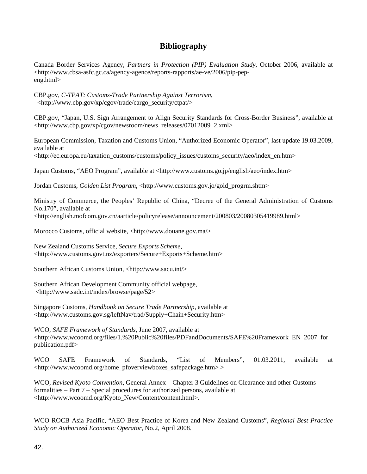### **Bibliography**

<span id="page-41-0"></span>Canada Border Services Agency, *Partners in Protection (PIP) Evaluation Study*, October 2006, available at <http://www.cbsa-asfc.gc.ca/agency-agence/reports-rapports/ae-ve/2006/pip-pepeng.html>

CBP.gov, *C-TPAT: Customs-Trade Partnership Against Terrorism*, <http://www.cbp.gov/xp/cgov/trade/cargo\_security/ctpat/>

CBP.gov, "Japan, U.S. Sign Arrangement to Align Security Standards for Cross-Border Business", available at <http://www.cbp.gov/xp/cgov/newsroom/news\_releases/07012009\_2.xml>

European Commission, Taxation and Customs Union, "Authorized Economic Operator", last update 19.03.2009, available at

<http://ec.europa.eu/taxation\_customs/customs/policy\_issues/customs\_security/aeo/index\_en.htm>

Japan Customs, "AEO Program", available at <http://www.customs.go.jp/english/aeo/index.htm>

Jordan Customs, *Golden List Program*, <http://www.customs.gov.jo/gold\_progrm.shtm>

Ministry of Commerce, the Peoples' Republic of China, "Decree of the General Administration of Customs No.170", available at <http://english.mofcom.gov.cn/aarticle/policyrelease/announcement/200803/20080305419989.html>

Morocco Customs, official website, <http://www.douane.gov.ma/>

New Zealand Customs Service, *Secure Exports Scheme*, <http://www.customs.govt.nz/exporters/Secure+Exports+Scheme.htm>

Southern African Customs Union, <http://www.sacu.int/>

Southern African Development Community official webpage, <http://www.sadc.int/index/browse/page/52>

Singapore Customs*, Handbook on Secure Trade Partnership*, available at <http://www.customs.gov.sg/leftNav/trad/Supply+Chain+Security.htm>

WCO, *SAFE Framework of Standards*, June 2007, available at <http://www.wcoomd.org/files/1.%20Public%20files/PDFandDocuments/SAFE%20Framework\_EN\_2007\_for\_ publication.pdf>

WCO SAFE Framework of Standards, "List of Members", 01.03.2011, available at <http://www.wcoomd.org/home\_pfoverviewboxes\_safepackage.htm> >

WCO, *Revised Kyoto Convention*, General Annex – Chapter 3 Guidelines on Clearance and other Customs formalities – Part 7 – Special procedures for authorized persons, available at <http://www.wcoomd.org/Kyoto\_New/Content/content.html>.

WCO ROCB Asia Pacific, "AEO Best Practice of Korea and New Zealand Customs", *Regional Best Practice Study on Authorized Economic Operator*, No.2, April 2008.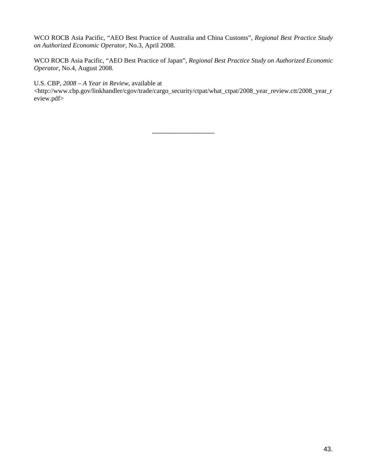WCO ROCB Asia Pacific, "AEO Best Practice of Australia and China Customs", *Regional Best Practice Study on Authorized Economic Operator*, No.3, April 2008.

WCO ROCB Asia Pacific, "AEO Best Practice of Japan", *Regional Best Practice Study on Authorized Economic Operator*, No.4, August 2008.

U.S. CBP, *2008 – A Year in Review*, available at <http://www.cbp.gov/linkhandler/cgov/trade/cargo\_security/ctpat/what\_ctpat/2008\_year\_review.ctt/2008\_year\_r eview.pdf>

\_\_\_\_\_\_\_\_\_\_\_\_\_\_\_\_\_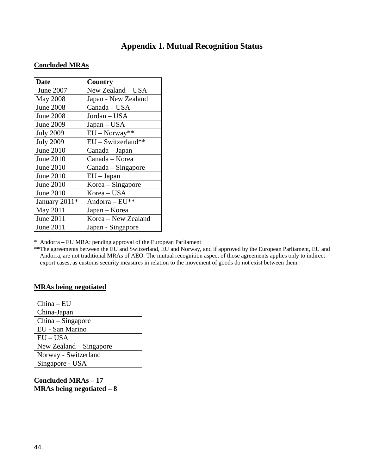## **Appendix 1. Mutual Recognition Status**

### <span id="page-43-0"></span>**Concluded MRAs**

| <b>Date</b>      | Country              |  |
|------------------|----------------------|--|
| June 2007        | New Zealand - USA    |  |
| May 2008         | Japan - New Zealand  |  |
| <b>June 2008</b> | Canada - USA         |  |
| <b>June 2008</b> | Jordan - USA         |  |
| June 2009        | Japan - USA          |  |
| <b>July 2009</b> | $EU - Norway**$      |  |
| <b>July 2009</b> | $EU$ – Switzerland** |  |
| <b>June 2010</b> | Canada - Japan       |  |
| <b>June 2010</b> | Canada - Korea       |  |
| June 2010        | Canada - Singapore   |  |
| June 2010        | $EU$ – Japan         |  |
| June 2010        | Korea - Singapore    |  |
| <b>June 2010</b> | Korea - USA          |  |
| January 2011*    | Andorra - EU**       |  |
| May 2011         | Japan – Korea        |  |
| June 2011        | Korea - New Zealand  |  |
| June 2011        | Japan - Singapore    |  |

\* Andorra – EU MRA: pending approval of the European Parliament

\*\*The agreements between the EU and Switzerland, EU and Norway, and if approved by the European Parliament, EU and Andorra, are not traditional MRAs of AEO. The mutual recognition aspect of those agreements applies only to indirect export cases, as customs security measures in relation to the movement of goods do not exist between them.

#### **MRAs being negotiated**

| $China - EU$            |
|-------------------------|
| China-Japan             |
| China – Singapore       |
| EU - San Marino         |
| $EU - USA$              |
| New Zealand – Singapore |
| Norway - Switzerland    |
| Singapore - USA         |

**Concluded MRAs – 17 MRAs being negotiated – 8**